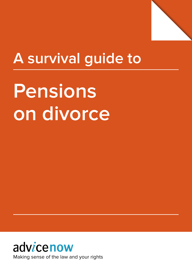

# **A survival guide to**

# **Pensions on divorce**

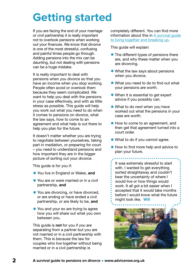# **Getting started**

If you are facing the end of your marriage or civil partnership it is really important not to overlook pensions when working out your finances. We know that divorce is one of the most stressful, confusing and painful times people go through. Adding pensions into the mix can be daunting, but not dealing with pensions can be a huge mistake.

It is really important to deal with pensions when you divorce so that you have an income when you stop working. People often avoid or overlook them because they seem complicated. We want to help you deal with the pensions in your case effectively, and with as little stress as possible. This guide will help you work out what you need to do when it comes to pensions on divorce, what the law says, how to come to an agreement and what help is out there to help you plan for the future.

It doesn't matter whether you are trying to negotiate between yourselves, taking part in mediation, or preparing for court – you need to understand pensions and how important they are in the bigger picture of sorting out your divorce.

This guide is for you if:

- You live in England or Wales, and
- You are or were married or in a civil partnership, and
- You are divorcing, or have divorced, or are ending or have ended a civil partnership, or are likely to be, and
- You and your ex are trying to agree how you will share out what you own between you.

This guide is **not** for you if you are separating from a partner but you are not married or in a civil partnership with them. This is because the law for couples who live together without being married or in a civil partnership is

completely different. You can find more information about this in [A survival guide](https://www.advicenow.org.uk/guides/survival-guide-living-together-and-breaking)  [to living together and breaking up](https://www.advicenow.org.uk/guides/survival-guide-living-together-and-breaking).

This guide will explain:

- The different types of pensions there are, and why these matter when you are divorcing.
- What the law says about pensions when you divorce.
- What you need to do to find out what your pensions are worth.
- When it is essential to get expert advice if you possibly can.
- What to do next when you have worked out what the pensions in your case are worth.
- How to come to an agreement, and then get that agreement turned into a court order.
- What to do if you cannot agree.
- How to find more help and advice to plan your future.

It was extremely stressful to start with. I wanted to get everything sorted straightaway and couldn't bear the uncertainty of where I would live or how things would work. It all got a bit easier when I accepted that it would take months before I would know what the future might look like. Will

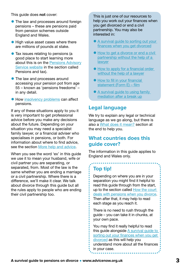This guide does not cover:

- The law and processes around foreign pensions – these are pensions paid from pension schemes outside England and Wales.
- High value asset cases where there are millions of pounds at stake.
- Tax issues relating to pensions (a good place to start learning more about this is on the [Pensions Advisory](https://www.pensionsadvisoryservice.org.uk/about-pensions/saving-into-a-pension/pensions-and-tax) [Service website](https://www.pensionsadvisoryservice.org.uk/about-pensions/saving-into-a-pension/pensions-and-tax) in the section called Pensions and tax).
- The law and processes around accessing your pension pot from age 55 – known as 'pensions freedoms' – in any detail.
- How [insolvency problems](https://www.pensionsadvisoryservice.org.uk/about-pensions/when-things-change/bankruptcy) can affect pensions.

If any of these situations apply to you it is very important to get professional advice before you make any decisions about the future. Depending on your situation you may need a specialist family lawyer, or a financial adviser who specialises in pensions, or both. For information about where to find advice, see the section [More help and advice.](#page-56-0)

When you see the word 'ex' in this guide we use it to mean your husband, wife or civil partner you are separating, or separated, from. Most of the law is the same whether you are ending a marriage or a civil partnership. Where there is a difference, we'll make it clear. We talk about divorce through this guide but all the rules apply to people who are ending their civil partnership too.

This is just one of our resources to help you work out your finances when you get divorced or end a civil partnership. You may also be interested in:

- A survival quide to sorting out your [finances when you get divorced](https://www.advicenow.org.uk/guides/survival-guide-sorting-out-your-finances-when-you-get-divorced)
- How to get a divorce or end a civil [partnership without the help of a](https://www.advicenow.org.uk/guides/how-get-divorce-or-end-civil-partnership-without-help-lawyer)  [lawyer](https://www.advicenow.org.uk/guides/how-get-divorce-or-end-civil-partnership-without-help-lawyer)
- How to apply for a financial order [without the help of a lawyer](https://www.advicenow.org.uk/guides/how-apply-financial-order-without-help-lawyer)
- **How to fill in your financial** [statement \(Form E\) – film](https://www.advicenow.org.uk/guides/how-fill-your-financial-statement-form-e-film)
- A survival guide to using family [mediation after a break up](https://www.advicenow.org.uk/guides/survival-guide-using-family-mediation-after-break)

### **Legal language**

We try to explain any legal or technical language as we go along, but there is also a [What does it mean?](#page-59-0) section at the end to help you.

### **What countries does this guide cover?**

The information in this guide applies to England and Wales only.

### **Top tip!**

Depending on where you are in your separation you might find it helpful to read this guide through from the start, up to the section called [How the court](#page-15-0)  [deals with pensions when you divorce.](#page-15-0) Then after that, it may help to read each stage as you reach it.

There is no need to rush through the guide – you can take it in chunks, at your own pace.

You may find it really helpful to read this guide alongside [A survival guide to](https://www.advicenow.org.uk/guides/survival-guide-sorting-out-your-finances-when-you-get-divorced)  [sorting out your finances when you get](https://www.advicenow.org.uk/guides/survival-guide-sorting-out-your-finances-when-you-get-divorced)  [divorced](https://www.advicenow.org.uk/guides/survival-guide-sorting-out-your-finances-when-you-get-divorced) as this will help you understand more about all the finances in your case.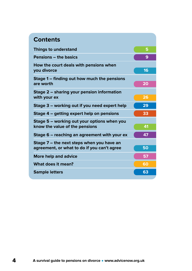| <b>Contents</b>                                                                          |    |
|------------------------------------------------------------------------------------------|----|
| <b>Things to understand</b>                                                              | 5  |
| <b>Pensions – the basics</b>                                                             | 9  |
| How the court deals with pensions when<br>you divorce                                    | 16 |
| Stage 1 – finding out how much the pensions<br>are worth                                 | 20 |
| Stage 2 – sharing your pension information<br>with your ex                               | 26 |
| Stage 3 – working out if you need expert help                                            | 29 |
| Stage 4 – getting expert help on pensions                                                | 33 |
| Stage 5 – working out your options when you<br>know the value of the pensions            | 41 |
| Stage 6 – reaching an agreement with your ex                                             | 47 |
| Stage 7 – the next steps when you have an<br>agreement, or what to do if you can't agree | 50 |
| <b>More help and advice</b>                                                              | 57 |
| What does it mean?                                                                       | 60 |
| <b>Sample letters</b>                                                                    | 63 |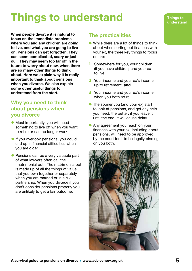# <span id="page-4-0"></span>**Things to understand**

When people divorce it is natural to focus on the immediate problems – where you and any children are going to live, and what you are going to live on. Pensions can get forgotten. They can seem complicated, scary or just dull. They may seem too far off in the future to worry about now, when there are so many other things to think about. Here we explain why it is really important to think about pensions when you divorce. We also explain some other useful things to understand from the start.

### **Why you need to think about pensions when you divorce**

- Most importantly, you will need something to live off when you want to retire or can no longer work.
- **If you overlook pensions, you could** end up in financial difficulties when you are older.
- Pensions can be a very valuable part of what lawyers often call the 'matrimonial pot'. The matrimonial pot is made up of all the things of value that you own together or separately when you are married or in a civil partnership. When you divorce if you don't consider pensions properly you are unlikely to get a fair outcome.

### **The practicalities**

- While there are a lot of things to think about when sorting out finances with your ex, the three key things to focus on are:
- **1** Somewhere for you, your children (if you have children) and your ex to live,
- **2** Your income and your ex's income up to retirement, and
- **3** Your income and your ex's income when you both retire.
- The sooner you (and your ex) start to look at pensions, and get any help you need, the better: if you leave it until the end, it will cause delay.
- Any agreement you reach on your finances with your ex, including about pensions, will need to be approved by the court for it to be legally binding on you both.

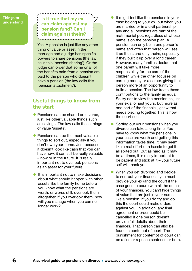#### **Things to understand**

### **Is it true that my ex can claim against my pension fund? Can I claim against theirs?**

Yes. A pension is just like any other thing of value or asset in the marriage and a judge has specific powers to share pensions (the law calls this 'pension sharing'). Or the judge can order that some or all of the benefits paid from a pension are paid to the person who doesn't have a pension (the law calls this 'pension attachment').

### **Useful things to know from the start**

- Pensions can be shared on divorce. just like other valuable things such as savings. The law calls these things of value 'assets'.
- Pensions can be the most valuable things to sort out, especially if you don't own your home. Just because it doesn't look like cash that you can have now, it can still be really valuable – now or in the future. It is really important not to overlook pensions as an asset for your future.
- **•** It is important not to make decisions about what should happen with other assets like the family home before you know what the pensions are worth, or worse still, overlook them altogether. If you overlook them, how will you manage when you can no longer work?
- It might feel like the pensions in your case belong to your ex, but when you are married or in a civil partnership any and all pensions are part of the matrimonial pot, regardless of whose name is on the pension plan. A pension can only be in one person's name and often that person will see it as theirs and only theirs, especially if they built it up over a long career. However, many families decide that one parent will take more responsibility for the care of the children while the other focuses on earning money or a career, giving that person more of an opportunity to build a pension. The law treats these contributions to the family as equal. So try not to view the pension as just your ex's, or just yours, but more as one part of the financial jigsaw that needs piecing together. This is how the court sees it.
- Sorting out your pensions when you divorce can take a long time. You have to know what the pensions in your case are worth and getting this information takes time. It may seem like a real effort or a hassle to get it all sorted out. But as hard as it may be at times, it is really important to be patient and stick at it – your future self will thank you!
- When you get divorced and decide to sort out your finances, you must provide your ex (and the court if the case goes to court) with all the details of your finances. You can't hide things of value that are just in your name, like a pension. If you do try and do this the court could make orders against you. In addition, any final agreement or order could be cancelled if one person doesn't provide full details about their finances. That person can also be found in contempt of court. The punishment for contempt of court can be a fine or a prison sentence or both.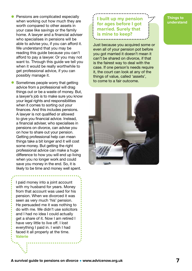- Pensions are complicated especially when working out how much they are worth compared to other assets in your case like savings or the family home. A lawyer and a financial adviser who specialises in pensions will be able to advise you, if you can afford it. We understand that you may be reading this guide because you can't afford to pay a lawyer. Or you may not want to. Through this guide we tell you when it would be really worthwhile to get professional advice, if you can possibly manage it.
- Sometimes people worry that getting advice from a professional will drag things out or be a waste of money. But, a lawyer's job is to make sure you know your legal rights and responsibilities when it comes to sorting out your finances. And this includes pensions. A lawyer is not qualified or allowed to give you financial advice. Instead, a financial adviser, who specialises in pensions on divorce, can advise you on how to share out your pension. Getting professional help can mean things take a bit longer and it will cost some money. But getting the right professional advice can make a huge difference to how you will end up living when you no longer work and could save you money in the end. So, it is likely to be time and money well spent.

I paid money into a joint account with my husband for years. Money from that account was used for his pension. When we divorced it was seen as very much 'his' pension. He persuaded me it was nothing to do with me. We didn't use solicitors and I had no idea I could actually get a share of it. Now I am retired I have very little to live off. I lost everything I paid in. I wish I had faced it all properly at the time. Valerie

**I built up my pension for ages before I got married. Surely that is mine to keep?**

Just because you acquired some or even all of your pension pot before you got married it doesn't mean it can't be shared on divorce, if that is the fairest way to deal with the case. If one person's needs require it, the court can look at any of the things of value, called 'assets', to come to a fair outcome.



#### **Things to understand**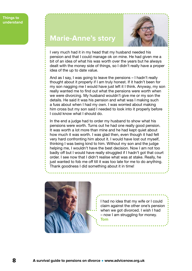



I very much had it in my head that my husband needed his pension and that I could manage ok on mine. He had given me a bit of an idea of what his was worth over the years but he always dealt with the money side of things, so I didn't really have a proper idea of the up to date value.

And as I say, I was going to leave the pensions – I hadn't really thought about it properly if I am truly honest. If it hadn't been for my son nagging me I would have just left it I think. Anyway, my son really wanted me to find out what the pensions were worth when we were divorcing. My husband wouldn't give me or my son the details. He said it was his pension and what was I making such a fuss about when I had my own. I was worried about making him cross but my son said I needed to look into it properly before I could know what I should do.

In the end a judge had to order my husband to show what his pensions were worth. Turns out he had one really good pension. It was worth a lot more than mine and he had kept quiet about how much it was worth. I was glad then, even though it had felt very hard confronting him about it. I would have lost out myself, thinking I was being kind to him. Without my son and the judge helping me, I wouldn't have the best decision. Now I am not too badly off but I would have really struggled if I hadn't got that court order. I see now that I didn't realise what was at stake. Really, he just wanted to fob me off till it was too late for me to do anything. Thank goodness I did something about it in time!



I had no idea that my wife or I could claim against the other one's pension when we got divorced. I wish I had – now I am struggling for money. Tom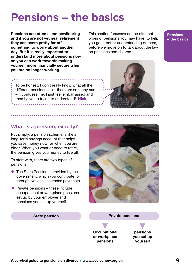# <span id="page-8-0"></span>**Pensions – the basics**

Pensions can often seem bewildering and if you are not yet near retirement they can seem pretty far off – something to worry about another day. But it is really important to understand more about pensions now so you can work towards making yourself more financially secure when you are no longer working.

This section focusses on the different types of pensions you may have, to help you get a better understanding of them, before we move on to talk about the law on pensions and divorce.

**Pensions – the basics**



To be honest, I don't really know what all the different pensions are – there are so many names – it confuses me. I just feel embarrassed and then I give up trying to understand! Nick

### **What is a pension, exactly?**

Put simply, a pension scheme is like a long-term savings account that helps you save money now for when you are older. When you want or need to retire, the pension gives you money to live off.

To start with, there are two types of pensions:

- The State Pension provided by the government, which you contribute to through National Insurance payments.
- $\bullet$  Private pensions these include occupational or workplace pensions set up by your employer and pensions you set up yourself.



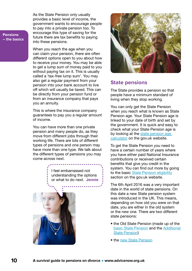**Pensions – the basics** As the State Pension only usually provides a basic level of income, the government wants to encourage people to pay into a private pension too. To encourage this type of saving for the future there are tax benefits to paying into these pensions.

When you reach the age when you can claim your pension, there are often different options open to you about how to receive your money. You may be able to get a lump sum of money paid to you without paying tax on it. This is usually called a 'tax-free lump sum'. You may also get a regular payment from your pension into your bank account to live off which will usually be taxed. This can be directly from your pension fund or from an insurance company that pays you an annuity.

This is where the insurance company guarantees to pay you a regular amount of income.

You can have more than one private pension and many people do, as they move from different jobs through their working life. There are lots of different types of pensions and one person may have more than one type. We talk about the different types of pensions you may come across next.

> I feel embarrassed not understanding the options or what to do next. Jennie





### **State pensions**

The State provides a pension so that people have a minimum standard of living when they stop working.

You can only get the State Pension when you reach what is known as State Pension age. Your State Pension age is linked to your date of birth and set by the government. It is quick and easy to check what your State Pension age is by looking at the state pension age [calculator](https://www.advicenow.org.uk/links/check-your-state-pension-age) on the gov.uk website.

To get the State Pension you need to have a certain number of years where you have either paid National Insurance contributions or received certain benefits that give you credit in the system. You can find out more by going to the basic [State Pension eligibility](https://www.gov.uk/state-pension/eligibility#:~:text=The%20earliest%20you%20can%20get,working%20and%20paying%20National%20Insurance) section on the gov.uk website.

The 6th April 2016 was a very important date in the world of state pensions. On this date a new State pension system was introduced in the UK. This means, depending on how old you were on that date, you are either in the old system or the new one. There are two different state pensions:

- the Old State Pension (made up of the [basic State Pension](https://www.gov.uk/state-pension) and the [Additional](https://www.gov.uk/additional-state-pension)  [State Pension](https://www.gov.uk/additional-state-pension))
- the [new State Pension](https://www.gov.uk/new-state-pension)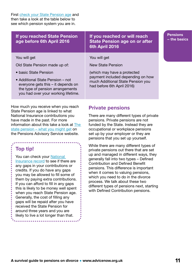First [check your State Pension age](https://www.gov.uk/state-pension-age) and then take a look at the table below to see which pension system you are in.

| <b>If you reached State Pension</b><br>age before 6th April 2016                                                                                  | If you reached or will reach<br><b>State Pension age on or after</b><br>6th April 2016               | <b>Pensions</b><br>$-$ the bas |
|---------------------------------------------------------------------------------------------------------------------------------------------------|------------------------------------------------------------------------------------------------------|--------------------------------|
| You will get<br>Old State Pension made up of:                                                                                                     | You will get<br><b>New State Pension</b>                                                             |                                |
| • basic State Pension                                                                                                                             | (which may have a protected                                                                          |                                |
| • Additional State Pension – not<br>everyone gets this – it depends on<br>the type of pension arrangements<br>you had over your working lifetime. | payment included depending on how<br>much Additional State Pension you<br>had before 6th April 2016) |                                |

How much you receive when you reach State Pension age is linked to what National Insurance contributions you have made in the past. For more information about this take a look at [The](https://www.advicenow.org.uk/links/state-pension-what-you-might-get)  [state pension – what you might get](https://www.advicenow.org.uk/links/state-pension-what-you-might-get) on the Pensions Advisory Service website.

### **Top tip!**

You can check your National [Insurance record](https://www.gov.uk/check-national-insurance-record) to see if there are any gaps in your contributions or credits. If you do have any gaps you may be allowed to fill some of them by paying extra contributions. If you can afford to fill in any gaps this is likely to be money well spent when you reach State Pension age. Generally, the cost of filling any gaps will be repaid after you have received the State Pension for around three years and you are likely to live a lot longer than that.

. . . . . . . . . . . . . . . . . . . .

### **Private pensions**

There are many different types of private pensions. Private pensions are not funded by the State. Instead they are occupational or workplace pensions set up by your employer or they are pensions that you set up yourself.

While there are many different types of private pensions out there that are set up and managed in different ways, they generally fall into two types – Defined Contribution and Defined Benefit pensions. This difference is important when it comes to valuing pensions, which you need to do in the divorce process. We talk about these two different types of pensions next, starting with Defined Contribution pensions.

**– the basics**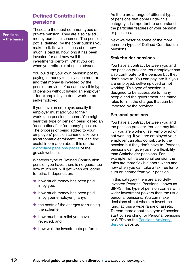### **Defined Contribution pensions**

**Pensions – the basics** These are the most common types of private pension. They are also called money purchase schemes. The pension pot is 'defined' by the contributions you make to it. Its value is based on how much is paid in, how long it has been invested for and how well the investments perform. What you get when you retire is **not** set in advance.

You build up your own pension pot by paying in money (usually each month) and that money is invested by the pension provider. You can have this type of pension without having an employer – for example if you don't work or are self-employed.

If you have an employer, usually the employer must add you to their workplace pension scheme. You might hear this type of pension being called an 'occupational' or 'company' pension. The process of being added to your employers' pension scheme is known as 'automatic enrolment'. You can find useful information about this on the [Workplace pensions pages](https://www.gov.uk/workplace-pensions) of the gov.uk website.

Whatever type of Defined Contribution pension you have, there is no guarantee how much you will get when you come to retire. It depends on:

- how much money has been paid in by you,
- how much money has been paid in by your employer (if any),
- the costs of the charges for running the scheme,
- how much tax relief you have received, and
- how well the investments perform.

As there are a range of different types of pensions that come under this category it is important to understand the particular features of your pension or pensions.

Next we describe some of the more common types of Defined Contribution pensions.

#### **Stakeholder pensions**

You have a contract between you and the pension provider. Your employer can also contribute to the pension but they don't have to. You can pay into it if you are employed, self-employed or not working. This type of pension is designed to be accessible to many people and the government has made rules to limit the charges that can be imposed by the provider.

#### **Personal pensions**

You have a contract between you and the pension provider. You can pay into it if you are working, self-employed or not working. If you are employed your employer can also contribute to the pension but they don't have to. Personal pensions can give you more flexibility than Stakeholder pensions. For example, with a personal pension the rules are more flexible about when and how often you can take a tax free lump sum or income from your pension.

In this category there are also Self-Invested Personal Pensions, known as SIPPS. This type of pension comes with wider investment powers than the usual personal pensions. You can make decisions about where to invest the fund, across a wide range of assets. To read more about this type of pension start by searching for Personal pensions or SIPPs on the [Pensions Advisory](https://www.pensionsadvisoryservice.org.uk/about-pensions/pensions-basics/contract-based-schemes/self-invested-personal-pensions-sipp)  [Service](https://www.pensionsadvisoryservice.org.uk/about-pensions/pensions-basics/contract-based-schemes/self-invested-personal-pensions-sipp) website.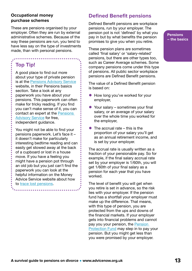### **Occupational money purchase schemes**

These are pensions organised by your employer. Often they are run by external administrative schemes. Because of the way these pensions are run, you tend to have less say on the type of investments made, than with personal pensions.

### **Top Tip!**

A good place to find out more about your type of private pension is at the [Pensions Advisory Service](https://www.pensionsadvisoryservice.org.uk/about-pensions/pensions-basics) website, in their Pensions basics section. Take a look at any paperwork you have about your pensions. This paperwork can often make for tricky reading. If you find you can't make sense of it, you can contact an expert at the [Pensions](https://www.pensionsadvisoryservice.org.uk/ask-us)  [Advisory Service](https://www.pensionsadvisoryservice.org.uk/ask-us) for free, independent guidance.

You might not be able to find your pensions paperwork. Let's face it – it doesn't make for particularly interesting bedtime reading and can easily get stowed away at the back of a cupboard or lost in a house move. If you have a feeling you might have a pension pot through an old job but you just can't find the paperwork you can look at the helpful information on the Money Advice Service website about how to [trace lost pensions.](https://www.moneyadviceservice.org.uk/en/articles/trace-lost-pensions-and-request-pension-forecasts)

. . . . . . . . . . . . . . . . . . . .

### **Defined Benefit pensions**

Defined Benefit pensions are workplace pensions, run by your employer. The pension pot is not 'defined' by what you pay in but by what benefits the pension promises to give you when you retire.

These pension plans are sometimes called 'final salary' or 'salary-related' pensions, but there are other types too, such as Career Average schemes. Some company pensions come under this type of pensions. All public sector workplace pensions are Defined Benefit pensions.

The value of a Defined Benefit pension is based on:

- How long you've worked for your employer,
- $\bullet$  Your salary sometimes your final salary, or an average of your salary over the whole time you worked for the employer,
- $\bullet$  The accrual rate this is the proportion of your salary you'll get as an annual retirement income, and is set by your employer.

The accrual rate is usually written as a fraction of your pensionable pay. So for example, if the final salary accrual rate set by your employer is 1/60th, you will get 1/60th of your final salary as a pension for each year that you have worked.

The level of benefit you will get when you retire is set in advance, so the risk lies with your employer. If the pension fund has a shortfall your employer must make up the difference. That means, with this type of pension, you are protected from the ups and downs of the financial markets. If your employer gets into financial problems and cannot pay you your pension, the [Pension](https://www.ppf.co.uk)  [Protection Fund](https://www.ppf.co.uk) may step in to pay your pension. But you might get less than you were promised by your employer.

**Pensions – the basics**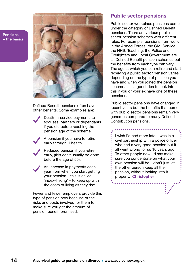**Pensions – the basics**



Defined Benefit pensions often have other benefits. Some examples are:

Death-in-service payments to spouses, partners or dependants if you die before reaching the pension age of the scheme.

A pension if you have to retire early through ill health.

Reduced pension if you retire early, (this can't usually be done before the age of 55).

An increase in payments each year from when you start getting your pension – this is called 'index-linking' – to keep up with the costs of living as they rise.

Fewer and fewer employers provide this type of pension now because of the risks and costs involved for them to make sure you get the amount of pension benefit promised.

### **Public sector pensions**

Public sector workplace pensions come under the category of Defined Benefit pensions. There are various public sector pension schemes with different rules. For example, pensions from work in the Armed Forces, the Civil Service, the NHS, Teaching, the Police and Firefighters and Local Government are all Defined Benefit pension schemes but the benefits from each type can vary. The age at which you can retire and start receiving a public sector pension varies depending on the type of pension you have and when you joined the pension scheme. It is a good idea to look into this if you or your ex have one of these pensions.

Public sector pensions have changed in recent years but the benefits that come with public sector pensions remain very generous compared to many Defined Contribution pensions.

I wish I'd had more info. I was in a civil partnership with a police officer who had a very good pension but it all went wrong for us 10 years ago. To other people now I'd say make sure you concentrate on what your own pension will be – don't just let the other person keep all their pension, without looking into it properly. Christopher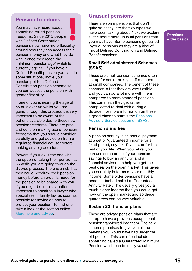### **Pension freedoms**

You may have heard about something called pension freedoms. Since 2015 people with Defined Contribution pensions now have more flexibility around how they can access their pension money and what they do with it once they reach the 'minimum pension age' which is currently age 55. If you have a Defined Benefit pension you can, in some situations, move your pension pot to a Defined Contribution pension scheme so you can access the pension with greater flexibility.

If one of you is nearing the age of 55 or is over 55 whilst you are going through this process it is very important to be aware of the options available due to these new pension freedoms. There are pros and cons on making use of pension freedoms that you should consider carefully and get advice on from a regulated financial adviser before making any big decisions.

Beware if your ex is the one with the option of taking their pension at 55 while you are going through the divorce process. There is a risk that they could withdraw their pension money before an order is made for the pension to be shared with you. If you might be in this situation it is important to speak to a lawyer who specialises in family law as soon as possible for advice on how to protect your position. To find one take a look at the section called [More help and advice](#page-56-0).

### **Unusual pensions**

There are some pensions that don't fit quite so neatly into the two types we have been talking about. Next we explain a little about more unusual pensions that you may have. Some pensions get called 'hybrid' pensions as they are a kind of mix of Defined Contribution and Defined Benefit pensions.

### **Small Self-administered Schemes (SSAS)**

These are small pension schemes often set up for senior or key staff members at small companies. The benefit of these schemes is that they are very flexible and you can do a lot more with them compared to more standard pensions. This can mean they get rather complicated to deal with during a divorce. For more information on these a good place to start is the Pensions [Advisory Service section on SSAS](https://www.pensionsadvisoryservice.org.uk/about-pensions/pensions-basics/workplace-pension-schemes/dc-small-self-administered-pension-schemes).

#### **Pension annuities**

A pension annuity is an annual payment at a set or 'guaranteed' income for a fixed period, say for 10 years, or for the rest of your life. When you retire, you can use some or all of your pension savings to buy an annuity, and a financial adviser can help you get the best deal on the open market. This gives you certainty in terms of your monthly income. Some older pensions have a benefit attached called a 'Guaranteed Annuity Rate'. This usually gives you a much higher income than you could get now on the open market and so these guarantees can be very valuable.

### **Section 32. transfer plans**

These are private pension plans that are set up to have a previous occupational pension transferred into them. The new scheme promises to give you all the benefits you would have had under the old pension. This can often include something called a Guaranteed Minimum Pension which can be really valuable.

**Pensions – the basics**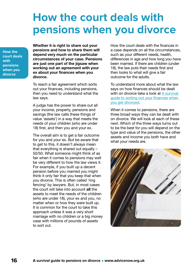### <span id="page-15-0"></span>**How the court deals with pensions when you divorce**

**How the court deals with pensions when you divorce**

Whether it is right to share out your pensions and how to share them will depend very much on the particular circumstances of your case. Pensions are just one part of the jigsaw when working out an agreement with your ex about your finances when you divorce.

To reach a fair agreement which sorts out your finances, including pensions, then you need to understand what the law says.

A judge has the power to share out all your income, property, pensions and savings (the law calls these things of value 'assets') in a way that meets the needs of your children (who are under 18) first, and then you and your ex.

The overall aim is to get a fair outcome for you and your ex. But be aware that to get to this, it doesn't always mean that everything is shared out equally  $-$ 50/50. What someone might think of as fair when it comes to pensions may well be very different to how the law views it. For example, if you built up a decent pension before you married you might think it only fair that you keep that when you divorce. This is often called 'ring fencing' by lawyers. But, in most cases the court will take into account all the assets to meet the needs of the children (who are under 18), your ex and you, no matter when or how they were built up. It is common for the court to take this approach unless it was a very short marriage with no children or a big money case with millions of pounds of assets to sort out.

How the court deals with the finances in a case depends on all the circumstances, such as your different needs, health, differences in age and how long you have been married. If there are children (under 18), the law puts their needs first and then looks to what will give a fair outcome for the adults.

To understand more about what the law says on how finances should be dealt with on divorce take a look at A survival [guide to sorting out your finances when](https://www.advicenow.org.uk/guides/survival-guide-sorting-out-your-finances-when-you-get-divorced)  [you get divorced.](https://www.advicenow.org.uk/guides/survival-guide-sorting-out-your-finances-when-you-get-divorced)

When it comes to pensions, there are three broad ways they can be dealt with on divorce. We will look at each of these next. Which of the three ways turns out to be the best for you will depend on the type and value of the pensions, the other assets and income you both have and what your needs are.

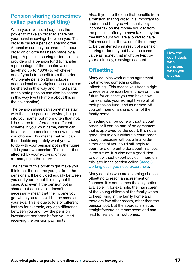### <span id="page-16-0"></span>**Pension sharing (sometimes called pension splitting)**

When you divorce, a judge has the power to make an order to share out your pension savings between you. This order is called a pension sharing order. A pension can only be shared if a court order on divorce has been made by a judge. A pension sharing order tells the providers of a pension fund to transfer a percentage of the transfer value (anything up to 100%) to whichever one of you is to benefit from the order. Any private pension (this includes occupational or workplace pensions) can be shared in this way and limited parts of the state pension can also be shared in this way (we talk more about this in the next section).

The pension share can sometimes stay with the same pension provider, but put into your name, but more often than not, it has to be transferred to a different scheme in your own name, which can be an existing pension or a new one that you choose. This means that you can then decide separately what you want to do with your pension pot in the future – it is your own pension. This is not then affected by your ex dying or you re-marrying in the future.

The name of this order might make you think that the income you get from the pensions will be divided equally between you and your ex but this may not the case. And even if the pension pot is shared out equally this doesn't necessarily mean that the income you get when you retire will be the same as your ex's. This is due to lots of different factors for example, any age difference between you and how the pension investment performs before you start receiving the pension payments.

Also, if you are the one that benefits from a pension sharing order, it is important to understand that you will usually pay income tax on the money you get from the pension, after you have taken any tax free lump sum you are allowed to have. This means that the value of the money to be transferred as a result of a pension sharing order may not have the same value as money that might be kept by your ex in, say, a savings account.

### **Offsetting**

Many couples work out an agreement that involves something called 'offsetting'. This means you trade a right to receive a pension benefit now or in the future for an asset you can have now. For example, your ex might keep all of their pension fund, and as a trade-off you get more of a share, or all of the family home.

Offsetting can be done without a court order, or it can be part of an agreement that is approved by the court. It is not a good idea to do it without a court order though, because without a final order either one of you could still apply to court for a different order about finances in the future. It is also not a good idea to do it without expert advice – more on this later in the section called Stage  $3$ [working out if you need expert help.](#page-28-0)

Many couples who are divorcing choose offsetting to reach an agreement on finances. It is sometimes the only option available, if, for example, the main carer of the young children of the family wants to keep living in the family home and there are few other assets, other than the pension pot. But the approach isn't as straightforward as it may seem and can lead to really unfair outcomes.

**How the court deals with pensions when you divorce**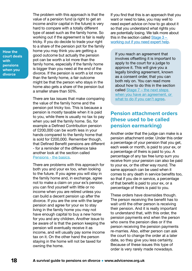**How the court deals with pensions when you divorce**

The problem with this approach is that the value of a pension fund (a right to get an income and/or capital in the future) is very hard to compare with a totally different type of asset such as the family home. So working out if the agreement is fair is really tricky. If you do decide to trade your right to a share of the pension pot for the family home you may think you are getting a good outcome but actually the pension pot can be worth a lot more than the family home, especially if the family home is bigger than you need at the end of the divorce. If the pension is worth a lot more than the family home, a fair outcome might be that the person who stays in the home also gets a share of the pension but a smaller share than 50%.

There are tax issues that make comparing the value of the family home and the pension pot tricky too. This is because a pension is mostly taxable when it is paid to you, while there is usually no tax to pay when you sell the family home. So, for example a Defined Contribution pension of £200,000 can be worth less in your hands compared to the family home that is sold for £200,000. Remember though, that Defined Benefit pensions are different - for a reminder of the difference take another look at the section called [Pensions - the basics](#page-8-0).

There are problems with this approach for both you and your ex too, when looking to the future. If you agree you will stay in the family home and, in exchange, agree not to make a claim on your ex's pension, you can find yourself with little or no income when you are retired unless you can build a decent pension up after the divorce. If you are the one with the larger pension and agree for your ex to stay living in the family home you may not have enough capital to buy a new home for you and any children. Another issue to be aware of is that the person keeping the pension will eventually receive it as income, and will usually pay some income tax on it. On the other hand the person staying in the home will not be taxed for owning the home.

If you find that this is an approach that you want or need to take, you may well to need expert advice on how to go about it so that you understand what rights you are potentially losing. We talk more about this in the section called  $Staae 3$ [working out if you need expert help.](#page-28-0)

If you reach an agreement that involves offsetting it is important to apply to the court for a judge to approve it. This will give you a legally binding agreement, known as a consent order, that you can both rely on. You can read more about how to do this in the section called [Stage 7 – the next steps](#page-49-0)  [when you have an agreement, or](#page-49-0)  [what to do if you can't agree](#page-49-0).

### **Pension attachment orders (these used to be called pension earmarking)**

Another order that the judge can make is a pension attachment order. Under this order a percentage of your pension that you get, each week or month, is paid to your ex, or a percentage of theirs is paid to you. A percentage of any tax free lump sum you receive from your pension can also be paid to your ex, or the other way round. The same approach can be used when it comes to any death in service benefits too, so that if you die in service, a percentage of that benefit is paid to your ex, or a percentage of theirs is paid to you.

These orders have downsides though. The person receiving the benefit has to wait until the other person is receiving their pension. And it is really important to understand that, with this order, the pension payments end when the person who owns the pension dies or if the person receiving the pension payments re-marries. Also, either person can ask the court to change the order at a later date, so they give you less certainty. Because of these issues this type of order is very rarely made nowadays.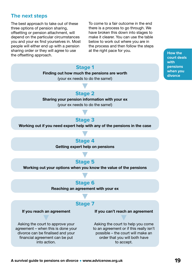### **The next steps**

The best approach to take out of these three options of pension sharing, offsetting or pension attachment, will depend on the particular circumstances you and your ex find yourselves in. Most people will either end up with a pension sharing order or they will agree to use the offsetting approach.

To come to a fair outcome in the end there is a process to go through. We have broken this down into stages to make it clearer. You can use the table below to work out where you are in the process and then follow the steps at the right pace for you.

#### **Stage 1**

Finding out how much the pensions are worth

(your ex needs to do the same!)

**How the court deals with pensions when you divorce**

### **Stage 2**

Sharing your pension information with your ex

(your ex needs to do the same!)

### **Stage 3**

Working out if you need expert help with any of the pensions in the case

**Stage 4** Getting expert help on pensions

### **Stage 5**

Working out your options when you know the value of the pensions

### **Stage 6**

Reaching an agreement with your ex

### **Stage 7**

If you reach an agreement

If you can't reach an agreement

Asking the court to approve your agreement – when this is done your divorce can be finalised and your financial agreement can be put into action.

Asking the court to help you come to an agreement or if this really isn't possible – the court will make an order that you will both have to accept.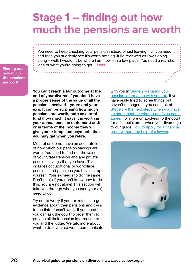### <span id="page-19-0"></span>**Stage 1 – finding out how much the pensions are worth**

You need to keep checking your pension instead of just leaving it till you need it and then you suddenly see it's worth nothing. If I'd reviewed as I was going along – well, I wouldn't be where I am now – in a low place. You need a realistic idea of what you're going to get. Lewis

**Finding out how much the pensions are worth**

> You can't reach a fair outcome at the end of your divorce if you don't have a proper sense of the value of all the pensions involved – yours and your ex's. It can be surprising how much pensions are worth, both as a total fund (how much it says it is worth in your annual pension statement) and/ or in terms of the income they will give you or lump sum payments that you may get when you retire.

Most of us do not have an accurate idea of how much our pension savings are worth. You need to find out the value of your State Pension and any private pension savings that you have. This includes occupational or workplace pensions and pensions you have set up yourself. Your ex needs to do the same. Don't panic if you don't know how to do this. You are not alone! This section will take you through what you (and your ex) need to do.

Try not to worry if your ex refuses to get evidence about their pensions and trying to mediate doesn't work. If you need to, you can ask the court to order them to provide all their pension information to you and the judge. We talk more about what to do if your ex won't communicate

with you in [Stage 2 – sharing your](#page-25-0)  [pension information with your ex.](#page-25-0) If you have really tried to agree things but haven't managed it, you can look at [Stage 7 – the next steps when you have](#page-49-0)  [an agreement, or what to do if you can't](#page-49-0)  [agree.](#page-49-0) For more on applying to the court for a financial order when you divorce go to our guide [How to apply for a financial](https://www.advicenow.org.uk/guides/how-apply-financial-order-without-help-lawyer)  [order without the help of a lawyer](https://www.advicenow.org.uk/guides/how-apply-financial-order-without-help-lawyer).

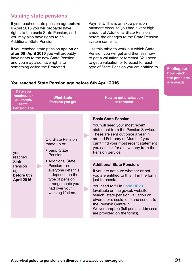### **Valuing state pensions**

If you reached state pension age **before** 6 April 2016 you will probably have rights to the basic State Pension, and you may also have rights to an Additional State Pension.

If you reached state pension age on or after 6th April 2016 you will probably have rights to the new State Pension, and you may also have rights to something called the Protected

Payment. This is an extra pension payment because you had a very high amount of Additional State Pension before the changes to the State Pension system came in.

Use this table to work out which State Pension you will get and then see how to get a valuation or forecast. You need to get a valuation or forecast for each type of State Pension you are entitled to.

**Finding out how much the pensions are worth**

| Date you<br>reached, or<br>will reach,<br><b>State</b><br><b>Pension age</b>        | <b>What State</b><br><b>Pension you get</b>                                                                                                                                                                                         | How to get a valuation<br>or forecast                                                                                                                                                                                                                                                                                                                                                                                                                                                                                                                                                                                                                                              |
|-------------------------------------------------------------------------------------|-------------------------------------------------------------------------------------------------------------------------------------------------------------------------------------------------------------------------------------|------------------------------------------------------------------------------------------------------------------------------------------------------------------------------------------------------------------------------------------------------------------------------------------------------------------------------------------------------------------------------------------------------------------------------------------------------------------------------------------------------------------------------------------------------------------------------------------------------------------------------------------------------------------------------------|
| you<br>reached<br><b>State</b><br>Pension<br>age<br>before 6th<br><b>April 2016</b> | <b>Old State Pension</b><br>made up of:<br>• basic State<br>Pension<br>• Additional State<br>Pension - not<br>everyone gets this.<br>It depends on the<br>type of pension<br>arrangements you<br>had over your<br>working lifetime. | <b>Basic State Pension:</b><br>You will need your most recent<br>statement from the Pension Service.<br>These are sent out once a year in<br>around February or March. If you<br>can't find your most recent statement<br>you can ask for a new copy from the<br>Pension Service.<br><b>Additional State Pension:</b><br>If you are not sure whether or not<br>you are entitled to this fill in the form<br>just to check:<br>You need to fill in Form BR20<br>(available on the gov.uk website -<br>search 'state pension valuation on<br>divorce or dissolution') and send it to<br>the Pension Centre in<br>Wolverhampton (full postal addresses<br>are provided on the forms). |

### **You reached State Pension age before 6th April 2016**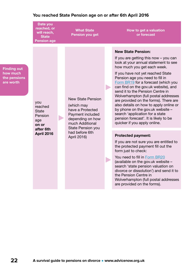### **You reached State Pension age on or after 6th April 2016**

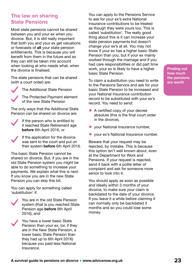### **The law on sharing State Pensions**

Most state pensions cannot be shared between you and your ex when you divorce. But, it is still really important that both you and your ex get valuations or forecasts of all your state pension entitlements. This is because you will benefit from them in the future and so they can still be taken into account when looking at who needs what, when the divorce is finalised.

The state pensions that can be shared (with a court order) are:

The Additional State Pension

The Protected Payment element of the new State Pension

The only ways that the Additional State Pension can be shared on divorce are:

- If the person who is entitled to it reached State Retirement age before 6th April 2016, or
- If the application for the divorce was sent to the court and put on their system **before** 6th April 2016.

The basic State Pension cannot be shared on divorce. But, if you are in the old State Pension system you might be able to do something to increase your payments. We explain what this is next. If you know you are in the new State Pension you can skip this bit.

You can apply for something called 'substitution' if:

![](_page_22_Picture_10.jpeg)

You are in the old State Pension system (that is you reached State Pension age before 6th April 2016), and

![](_page_22_Picture_12.jpeg)

You have a lower basic State Pension than your ex, (or, if they are in the New State Pension, a lower basic State Pension than they had up to 6th April 2016) because you paid less National Insurance.

You can apply to the Pensions Service to ask for your ex's extra National Insurance contributions to be treated as though they were yours too. This is called 'substitution'. The really good thing about this is it can increase your state pension payments but doesn't change your ex's at all. You may not know if your ex has a higher basic State Pension than you, but if your ex mainly worked through the marriage and if you had care responsibilities or did part time work, your ex is likely to have a higher basic State Pension.

To claim a substitution you need to write to the Pensions Service and ask for your basic State Pension to be increased and your National Insurance contribution record to be substituted with your ex's record. You need to send:

- A certified copy of your decree absolute (this is the final court order in the divorce),
- your National Insurance number,
- vour ex's National Insurance number.

Beware that your request may be rejected, by mistake. This is because this option isn't well known about, even at the Department for Work and Pensions. If your request is rejected, send it back with a polite letter of complaint and ask for someone more senior to look into it.

You should apply as soon as possible and ideally within 3 months of your divorce, to make sure your claim is backdated to the date of your divorce. If you leave it a while before claiming it can normally only be backdated 3 months and so you could lose some money.

**Finding out how much the pensions are worth**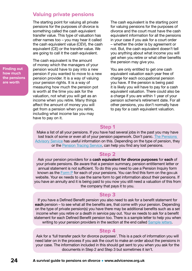### **Valuing private pensions**

The starting point for valuing all private pensions for the purposes of divorce is something called the cash equivalent transfer value. This type of valuation has other names too – you may hear it called the cash equivalent value (CEV), the cash equivalent (CE) or the transfer value. We are going to call it the cash equivalent.

**Finding out how much the pensions are worth**

The cash equivalent is the amount of money which the managers of your pension would have to pay into a new pension if you wanted to move to a new pension provider. It is a way of valuing your pension rights. It is a way of measuring how much the pension pot is worth at the time you ask for the valuation, not what you will get as an income when you retire. Many things affect the amount of money you will get from a pension when you retire, including what income tax you may have to pay on it.

The cash equivalent is the starting point for valuing pensions for the purposes of divorce and the court must have the cash equivalent information for all the pensions in your case if you ask for a court order – whether the order is by agreement or not. But, the cash equivalent doesn't tell you anything about what income you will get when you retire or what other benefits the pension may give you.

You are only entitled to get one cash equivalent valuation each year free of charge for each occupational pension you have. If the pension is being paid it is likely you will have to pay for a cash equivalent valuation. There could also be a charge if you are within 1 year of your pension scheme's retirement date. For all other pensions, you don't normally have to pay for a cash equivalent valuation.

### **Step 1**

Make a list of all your pensions. If you have had several jobs in the past you may have lost track of some or even all of your pension paperwork. Don't panic. [The Pensions](https://www.pensionsadvisoryservice.org.uk/pension-problems/making-a-complaint/common-concerns/lost-pensions)  [Advisory Service](https://www.pensionsadvisoryservice.org.uk/pension-problems/making-a-complaint/common-concerns/lost-pensions) has useful information on this. Depending on the type of pension, they or the [Pension Tracing Service](https://www.gov.uk/find-pension-contact-details), can help you find any lost pensions.

### **Step 2**

Ask your pension providers for a cash equivalent for divorce purposes for each of your private pensions. Be aware that a pension summary, pension entitlement letter or annual statement is not sufficient. To do this you need to use a Pension Inquiry form known as the [Form P](https://www.advicenow.org.uk/links/pension-inquiry-form-form-p) for each of your pensions. You can find this form on the gov.uk website. Your ex needs to use the same form to get information about their pensions. If you have an annuity and it is being paid to you now you still need a valuation of this from the company that pays it to you.

### **Step 3**

If you have a Defined Benefit pension you also need to ask for a benefit statement for each pension – to see what all the benefits are, that come with your pension. Depending on the type of private pension(s) you have there may be additional benefits such as a set income when you retire or a death in service pay out. Your ex needs to ask for a benefit statement for each Defined Benefit pension too. There is a sample letter to help you when writing to your pension providers in the section at the end called [Sample letters.](#page-62-0)

### **Step 4**

Ask for a 'full transfer pack for divorce purposes'. This is a pack of information you will need later on in the process if you ask the court to make an order about the pensions in your case. The information included in this should get sent to you when you ask for the documents in Step 2 and Step 3 but sometimes it isn't.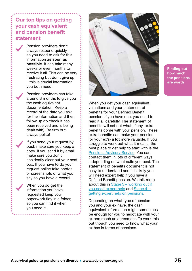### **Our top tips on getting your cash equivalent and pension benefit statement**

Pension providers don't always respond quickly so you need to ask for this information as soon as possible. It can take many weeks or even months to receive it all. This can be very frustrating but don't give up – this is crucial information you both need.

Pension providers can take around 3 months to give you the cash equivalent documentation. Keep a record of the date you ask for the information and then follow up (to check it has been received and is being dealt with). Be firm but always polite!

If you send your request by post, make sure you keep a copy. If you send it by email make sure you don't accidently clear out your sent box. If you have to do your request online take photos or screenshots of what you say so you have a record.

When you do get the information you have requested keep your paperwork tidy in a folder, so you can find it when you need it.

![](_page_24_Picture_5.jpeg)

**Finding out how much the pensions are worth**

When you get your cash equivalent valuations and your statement of benefits for your Defined Benefit pension, if you have one, you need to read it all carefully. The statement of benefits will set out what, if any, extra benefits come with your pension. These extra benefits can make your pension (or your ex's) a lot more valuable. If you struggle to work out what it means, the best place to get help to start with is the [Pensions Advisory Service.](https://www.pensionsadvisoryservice.org.uk/ask-us) You can contact them in lots of different ways – depending on what suits you best. The statement of benefits document is not easy to understand and it is likely you will need expert help if you have a Defined Benefit pension. We talk more about this in [Stage 3 – working out if](#page-28-0)  [you need expert help](#page-28-0) and [Stage 4 –](#page-32-0)  [getting expert help on pensions](#page-32-0).

Depending on what type of pension you and your ex have, the cash equivalent information might sometimes be enough for you to negotiate with your ex and reach an agreement. To work this out though you need to know what your ex has in terms of pensions.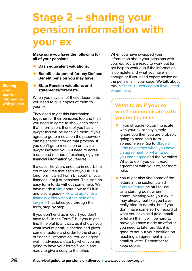# <span id="page-25-0"></span>**Stage 2 – sharing your pension information with your ex**

Make sure you have the following for all of your pensions:

- Cash equivalent valuations,
- **Benefits statement for any Defined** Benefit pension you may have,
- **State Pension valuations and** statements/forecasts.

When you have all of these documents you need to give copies of them to your ex.

They need to get this information together for their pensions too and then you need to agree to show each other that information. If one of you has a lawyer this will be done via them. If you agree to go to mediation the paperwork can be shared through that process. If you don't go to mediation or have a lawyer involved you will need to agree a date and method of exchanging your financial information yourselves.

If a case like yours ends up in court, the court requires that each of you fill in a long form, called Form E, about all your finances, not just pensions. This isn't an easy form to do without some help. We have made a [film](https://www.advicenow.org.uk/guides/how-fill-your-financial-statement-form-e-film) about how to fill it in and also a guide – [How to apply for a](https://www.advicenow.org.uk/guides/how-apply-financial-order-without-help-lawyer)  [financial order without the help of a](https://www.advicenow.org.uk/guides/how-apply-financial-order-without-help-lawyer)  [lawyer](https://www.advicenow.org.uk/guides/how-apply-financial-order-without-help-lawyer) – that takes you through the form, step by step.

If you don't end up in court you don't have to fill in the Form E but you might find it helpful to anyway, as it shows you what level of detail is needed and gives some structure and order to the sharing of financial information. You can agree well in advance a date by when you are going to have your forms filled in and ready to give a copy to the other.

When you have swapped your information about your pensions with your ex, you are ready to work out (or get help to work out) if the information is complete and what you have is enough or if you need expert advice on the pensions in your case. We talk about this in [Stage 3 – working out if you need](#page-28-0)  [expert help.](#page-28-0)

### **What to do if your ex won't communicate with you on finances**

- **If you struggle to communicate** with your ex or they simply ignore you then you are probably going to need help from someone else. Go to Stage 7 [– the next steps when you have](#page-49-0)  [an agreement, or what to do if](#page-49-0)  [you can't agree](#page-49-0) and the bit called What to do if you can't reach agreement with your ex, for more help.
- You might also find some of the letters in the section called [Sample letters](#page-62-0) helpful to use as a starting point when communicating with your ex. It may already feel like you have really tried to do this, but if you don't have some sort of record of what you have said (text, email or letter) then it will be hard to prove you have made an effort, if you need to later on. So, it is good to set out your position on reaching an agreement in an email or letter. Remember to keep copies!

**Sharing your pension information with your ex**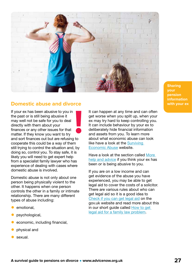![](_page_26_Picture_0.jpeg)

### **Domestic abuse and divorce with your example the set of the set of the set of the set of the set of the set of the set of the set of the set of the set of the set of the set of the set of the set of the set of the set o**

If your ex has been abusive to you in the past or is still being abusive it may well not be safe for you to deal directly with them about your finances or any other issues for that matter. If they know you want to try and sort finances out but are refusing to cooperate this could be a way of them still trying to control the situation and, by doing so, control you. To stay safe, it is likely you will need to get expert help from a specialist family lawyer who has experience of dealing with cases where domestic abuse is involved.

Domestic abuse is not only about one person being physically violent to the other. It happens when one person controls the other in a family or intimate relationship. There are many different types of abuse including:

- emotional.
- psychological,
- economic, including financial,
- physical and
- sexual.

It can happen at any time and can often get worse when you split up, when your ex may try hard to keep controlling you. It can include behaviour by your ex to deliberately hide financial information and assets from you. To learn more about what economic abuse can look like have a look at the Surviving [Economic Abuse](https://survivingeconomicabuse.org/economic-abuse/what-is-economic-abuse/) website.

Have a look at the section called [More](#page-56-0)  [help and advice](#page-56-0) if you think your ex has been or is being abusive to you.

If you are on a low income and can get evidence of the abuse you have experienced, you may be able to get legal aid to cover the costs of a solicitor. There are various rules about who can get legal aid so it is a good idea to [Check if you can get legal aid](https://www.advicenow.org.uk/links/check-if-you-can-get-legal-aid) on the gov.uk website and read more about this in our short guide called [How to get](https://www.advicenow.org.uk/know-hows/how-get-legal-aid-family-law-problem)  [legal aid for a family law problem](https://www.advicenow.org.uk/know-hows/how-get-legal-aid-family-law-problem).

**Sharing your pension information**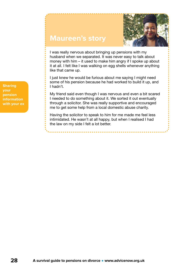![](_page_27_Picture_0.jpeg)

### **Maureen's story**

I was really nervous about bringing up pensions with my husband when we separated. It was never easy to talk about money with him – it used to make him angry if I spoke up about it at all. I felt like I was walking on egg shells whenever anything like that came up.

I just knew he would be furious about me saying I might need some of his pension because he had worked to build it up, and I hadn't.

My friend said even though I was nervous and even a bit scared I needed to do something about it. We sorted it out eventually through a solicitor. She was really supportive and encouraged me to get some help from a local domestic abuse charity.

Having the solicitor to speak to him for me made me feel less intimidated. He wasn't at all happy, but when I realised I had the law on my side I felt a lot better.

**Sharing your pension information with your ex**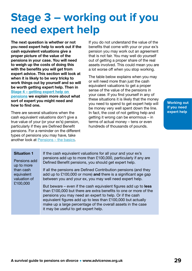## <span id="page-28-0"></span>**Stage 3 – working out if you need expert help**

The next question is whether or not you need expert help to work out if the cash equivalent valuations give a proper picture of the value of the pensions in your case. You will need to weigh up the costs of doing this with the benefits you will get from expert advice. This section will look at when it is likely to be very tricky to work things out by yourself and so will be worth getting expert help. Then in [Stage 4 – getting expert help on](#page-32-0)  [pensions](#page-32-0) we explain more about what sort of expert you might need and how to find one.

There are several situations when the cash equivalent valuations don't give a true value of your (or your ex's) pension, particularly if they are Defined Benefit pensions. For a reminder on the different types of pensions you may have, take another look at [Pensions – the basics](#page-8-0).

If you do not understand the value of the benefits that come with your or your ex's pension you may work out an agreement that is not fair. You may well do yourself out of getting a proper share of the real assets involved. This could mean you are a lot worse off when you stop working.

The table below explains when you may or will need more than just the cash equivalent valuations to get a proper sense of the value of the pensions in your case. If you find yourself in any of these situations it is likely that the money you need to spend to get expert help will be money very well spent down the line. In fact, the cost of not getting help and getting it wrong can be enormous – in terms of actual money – tens or even hundreds of thousands of pounds.

**Working out if you need expert help**

#### Situation 1

Pensions add up to more than cash equivalent valuation of £100,000

If the cash equivalent valuations for all your and your ex's pensions add up to more than £100,000, particularly if any are Defined Benefit pensions, you should get expert help.

If all the pensions are Defined Contribution pensions (and they add up to £100,000 or more) and there is a significant age gap between you and your ex, you may well need expert help.

But beware – even if the cash equivalent figures add up to less than £100,000 but there are extra benefits to one or more of the pensions you may need an expert to help. Or if the cash equivalent figures add up to less than £100,000 but actually make up a large percentage of the overall assets in the case it may be useful to get expert help.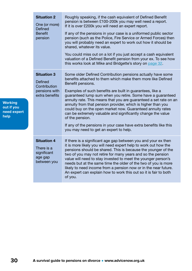| <b>Situation 2</b><br>One (or more)<br>Defined<br><b>Benefit</b><br>pension             | Roughly speaking, if the cash equivalent of Defined Benefit<br>pension is between £100-200k you may well need a report.<br>If it is over £200k you will need an expert report.<br>If any of the pensions in your case is a uniformed public sector<br>pension (such as the Police, Fire Service or Armed Forces) then<br>you will probably need an expert to work out how it should be<br>shared, whatever its value.<br>You could miss out on a lot if you just accept a cash equivalent<br>valuation of a Defined Benefit pension from your ex. To see how<br>this works look at Mike and Bridgette's story on page 32.                                                        |
|-----------------------------------------------------------------------------------------|----------------------------------------------------------------------------------------------------------------------------------------------------------------------------------------------------------------------------------------------------------------------------------------------------------------------------------------------------------------------------------------------------------------------------------------------------------------------------------------------------------------------------------------------------------------------------------------------------------------------------------------------------------------------------------|
| <b>Situation 3</b><br><b>Defined</b><br>Contribution<br>pensions with<br>extra benefits | Some older Defined Contribution pensions actually have some<br>benefits attached to them which make them more like Defined<br>Benefit pensions.<br>Examples of such benefits are built in guarantees, like a<br>guaranteed lump sum when you retire. Some have a guaranteed<br>annuity rate. This means that you are guaranteed a set rate on an<br>annuity from that pension provider, which is higher than you<br>could buy on the open market now. Guaranteed annuity rates<br>can be extremely valuable and significantly change the value<br>of the pension.<br>If any of the pensions in your case have extra benefits like this<br>you may need to get an expert to help. |
| <b>Situation 4</b><br>There is a<br>significant<br>age gap<br>between you               | If there is a significant age gap between you and your ex then<br>it is more likely you will need expert help to work out how the<br>pensions should be shared. This is because the younger of the<br>two of you may not retire for many years and so the pension<br>value will need to stay invested to meet the younger person's<br>needs but at the same time the older of the two of you is more<br>likely to need income from a pension now or in the near future.<br>An expert can explain how to work this out so it is fair to both<br>of you.                                                                                                                           |

**Working out if you need expert help**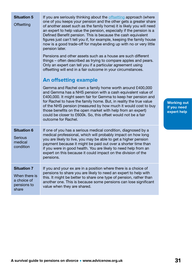| <b>Situation 5</b><br><b>Offsetting</b>                                    | If you are seriously thinking about the offsetting approach (where<br>one of you keeps your pension and the other gets a greater share<br>of another asset such as the family home) it is likely you will need<br>an expert to help value the pension, especially if the pension is a<br>Defined Benefit pension. This is because the cash equivalent<br>figures just can't tell you if, for example, keeping the family house<br>now is a good trade-off for maybe ending up with no or very little<br>pension later.<br>Pensions and other assets such as a house are such different<br>things – often described as trying to compare apples and pears.<br>Only an expert can tell you if a particular agreement using<br>offsetting will end in a fair outcome in your circumstances.<br><b>An offsetting example</b><br>Gemma and Rachel own a family home worth around £400,000<br>and Gemma has a NHS pension with a cash equivalent value of<br>£400,000. It might seem fair for Gemma to keep her pension and<br>for Rachel to have the family home. But, in reality the true value<br>of the NHS pension (measured by how much it would cost to buy<br>those benefits on the open market with help from an expert)<br>could be closer to £600k. So, this offset would not be a fair<br>outcome for Rachel. | <b>Working out</b><br>if you need<br>expert help |
|----------------------------------------------------------------------------|---------------------------------------------------------------------------------------------------------------------------------------------------------------------------------------------------------------------------------------------------------------------------------------------------------------------------------------------------------------------------------------------------------------------------------------------------------------------------------------------------------------------------------------------------------------------------------------------------------------------------------------------------------------------------------------------------------------------------------------------------------------------------------------------------------------------------------------------------------------------------------------------------------------------------------------------------------------------------------------------------------------------------------------------------------------------------------------------------------------------------------------------------------------------------------------------------------------------------------------------------------------------------------------------------------------------|--------------------------------------------------|
| <b>Situation 6</b><br><b>Serious</b><br>medical<br>condition               | If one of you has a serious medical condition, diagnosed by a<br>medical professional, which will probably impact on how long<br>you are likely to live, you may be able to get a higher pension<br>payment because it might be paid out over a shorter time than<br>if you were in good health. You are likely to need help from an<br>expert on this because it could impact on the division of the<br>pensions.                                                                                                                                                                                                                                                                                                                                                                                                                                                                                                                                                                                                                                                                                                                                                                                                                                                                                                  |                                                  |
| <b>Situation 7</b><br>When there is<br>a choice of<br>pensions to<br>share | If you and your ex are in a position where there is a choice of<br>pensions to share you are likely to need an expert to help with<br>this. It might be better to share one type of pension, rather than<br>another one. This is because some pensions can lose significant<br>value when they are shared.                                                                                                                                                                                                                                                                                                                                                                                                                                                                                                                                                                                                                                                                                                                                                                                                                                                                                                                                                                                                          |                                                  |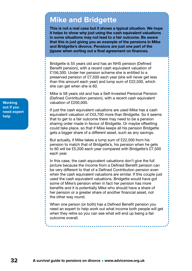### <span id="page-31-0"></span>**Mike and Bridgette**

This is not a real case but it shows a typical situation. We hope it helps to show why just using the cash equivalent valuations in some situations may not lead to a fair outcome. Be aware that this is just giving you an example of the pensions in Mike and Bridgette's divorce. Pensions are just one part of the jigsaw when sorting out a final agreement on finances.

Bridgette is 55 years old and has an NHS pension (Defined Benefit pension), with a recent cash equivalent valuation of £156,300. Under her pension scheme she is entitled to a preserved pension of £7,500 each year (she will never get less than this amount each year) and lump sum of £22,500, which she can get when she is 60.

Mike is 58 years old and has a Self-Invested Personal Pension (Defined Contribution pension), with a recent cash equivalent valuation of £200,000.

If just the cash equivalent valuations are used Mike has a cash equivalent valuation of £43,700 more than Bridgette. So it seems that to get to a fair outcome there may need to be a pension sharing order made in favour of Bridgette. Or maybe offsetting could take place, so that if Mike keeps all his pension Bridgette gets a bigger share of a different asset, such as any savings.

But actually, if Mike takes a lump sum of £22,500 from his pension to match that of Bridgette's, his pension when he gets to 60 will be £5,200 each year compared with Bridgette's £7,500 each year.

In this case, the cash equivalent valuations don't give the full picture because the income from a Defined Benefit pension can be very different to that of a Defined Contribution pension even when the cash equivalent valuations are similar. If this couple just used the cash equivalent valuations, Bridgette would have got some of Mike's pension when in fact her pension has more benefits and it is potentially Mike who should have a share of her pension or a greater share of another financial asset, not the other way round.

When one person (or both) has a Defined Benefit pension you need an expert to help work out what income both people will get when they retire so you can see what will end up being a fair outcome overall.

**Working out if you need expert help**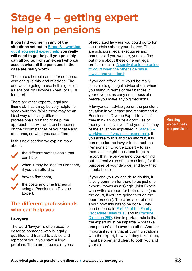## <span id="page-32-0"></span>**Stage 4 – getting expert help on pensions**

If you find yourself in any of the situations set out in Stage 3 – working [out if you need expert help](#page-28-0) you really will need to get help, if you possibly can afford to, from an expert who can assess what all the pensions in the case are really worth.

There are different names for someone who can give this kind of advice. The one we are going to use in this guide is a Pensions on Divorce Expert, or PODE, for short.

There are other experts, legal and financial, that it may be very helpful to speak with too. While there may be an ideal way of having different professionals on hand to help, the approach that will work best depends on the circumstances of your case and, of course, on what you can afford.

In this next section we explain more about:

![](_page_32_Picture_5.jpeg)

the different professionals that can help,

when it may be ideal to use them, if you can afford it,

how to find them,

the costs and time frames of using a Pensions on Divorce Expert.

### **The different professionals who can help you**

### **Lawyers**

The word 'lawyer' is often used to describe someone who is legally qualified and trained to advise and represent you if you have a legal problem. There are three main types of regulated lawyers you could go to for legal advice about your divorce. These are solicitors, legal executives and barristers. If you want to, you can find out more about these different legal professionals in [A survival guide to going](https://www.advicenow.org.uk/guides/when-other-side-has-lawyer-guide-litigants-person-0)  [to court when the other side has a](https://www.advicenow.org.uk/guides/when-other-side-has-lawyer-guide-litigants-person-0)  [lawyer and you don't.](https://www.advicenow.org.uk/guides/when-other-side-has-lawyer-guide-litigants-person-0)

If you can afford it, it would be really sensible to get legal advice about where you stand in terms of the finances in your divorce, as early on as possible before you make any big decisions.

A lawyer can advise you on the pensions situation in your case and recommend a Pensions on Divorce Expert to you, if they think it would be a good use of money – mainly if you find yourself in any of the situations explained in [Stage 3 –](#page-28-0)  [working out if you need expert help.](#page-28-0) If you agree to this and can afford it, it is common for the lawyer to instruct the Pensions on Divorce Expert – to ask them all the right questions to get a report that helps you (and your ex) find out the real value of the pensions, for the purposes of your divorce, and how they should be split.

If you and your ex decide to do this, it is very common for there to be just one expert, known as a 'Single Joint Expert' who writes a report for both of you (and the court, if you are going through the court process). There are a lot of rules about how this has to be done. They can be found in [Part 25 of the Family](https://www.justice.gov.uk/courts/procedure-rules/family/parts/part_25)  [Procedure Rules 2010](https://www.justice.gov.uk/courts/procedure-rules/family/parts/part_25) and in [Practice](https://www.justice.gov.uk/courts/procedure-rules/family/practice_directions/practice-direction-25d-financial-remedy-proceedings-and-other-family-proceedings-except-children-proceedings-the-use-of-single-joint-experts-and-the-process-leading-to-expert-evidence-being-put-before-the-court)  [Direction 25D](https://www.justice.gov.uk/courts/procedure-rules/family/practice_directions/practice-direction-25d-financial-remedy-proceedings-and-other-family-proceedings-except-children-proceedings-the-use-of-single-joint-experts-and-the-process-leading-to-expert-evidence-being-put-before-the-court). One important rule is that the expert must be impartial – not take one person's side over the other. Another important rule is that all communications with the expert, however they take place, must be open and clear, to both you and your ex.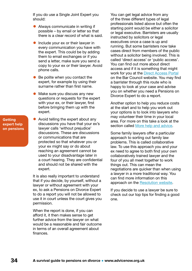If you do use a Single Joint Expert you should:

- Always communicate in writing if possible – by email or letter so that there is a clear record of what is said.
- Include your ex or their lawyer in every communication you have with the expert. This could be by adding them to email exchanges or if you send a letter, make sure you send a copy to your ex or their lawyer. Avoid phone calls.
- Be polite when you contact the expert, for example by using their surname rather than first name.
- Make sure you discuss any new questions or requests for the expert with your ex, or their lawyer, first before bringing them up with the expert.
- Avoid telling the expert about any discussions you have that your ex's lawyer calls 'without prejudice' discussions. These are discussions or communications that are protected so that whatever you or your ex might say or do about reaching an agreement cannot be used to your disadvantage later in a court hearing. They are confidential and should not be shared with the expert.

It is also really important to understand that if you decide, by yourself, without a lawyer or without agreement with your ex, to ask a Pensions on Divorce Expert to do a report you will not be allowed to use it in court unless the court gives you permission.

When the report is done, if you can afford it, it then makes sense to get further advice from the lawyer on what would be a reasonable and fair outcome in terms of an overall agreement about finances.

You can get legal advice from any of the three different types of legal professionals listed above but often the starting point would be either a solicitor or legal executive. Barristers are usually instructed by solicitors or legal executives once a case is up and running. But some barristers now take cases direct from members of the public without a solicitor being involved. This is called 'direct access' or 'public access'. You can find out more about direct access and if it is something that might work for you at the **[Direct Access Portal](https://www.advicenow.org.uk/links/public-access-directory-bar-council)** on the Bar Council website. You may find a barrister through this route who is happy to look at your case and advise you on whether you need a Pensions on Divorce Expert to do a report.

Another option to help you reduce costs at the start and to help you work out your options is to look into lawyers who may volunteer their time in your local area. For more on this take a look at the section called [More help and advice](#page-56-0).

Some family lawyers offer a particular approach to sorting out family law problems. This is called collaborative law. To use this approach you and your ex need to agree to both find your own collaboratively trained lawyer and the four of you all meet together to work things out. This can mean the negotiations are quicker than when using a lawyer in a more traditional way. You can find more information on this approach on the [Resolution website](https://resolution.org.uk/looking-for-help/splitting-up/your-process-options-for-divorce-and-dissolution/the-collaborative-process/).

If you decide to use a lawyer be sure to check out our top tips for finding a good one.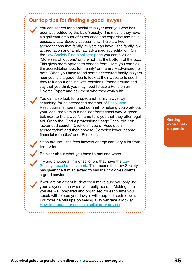### **Our top tips for finding a good lawyer**

You can search for a specialist lawyer near you who has been accredited by the Law Society. This means they have a significant amount of experience and expertise and have passed a Law Society assessment. There are two accreditations that family lawyers can have – the family law accreditation and family law advanced accreditation. On the [Law Society Find a solicitor page](https://solicitors.lawsociety.org.uk) you can click on 'More search options' on the right at the bottom of the box. This gives more options to choose from. Here you can tick the accreditation box for 'Family' or 'Family – advanced', or both. When you have found some accredited family lawyers near you it is a good idea to look at their website to see if they talk about dealing with pensions. Phone around and say that you think you may need to use a Pension on Divorce Expert and ask them who they work with.

You can also look for a specialist family lawyer by searching for an accredited member of [Resolution](https://resolution.org.uk). Resolution members must commit to helping you work out your legal problem in a non-confrontational way. A green tick next to the lawyer's name tells you that they offer legal aid. Go to the 'Find a professional' page Then, click on 'advanced search'. Click on 'Type of Resolution accreditation' and then choose 'Complex lower income financial remedies' and 'Pensions'.

Shop around – the fees lawyers charge can vary a lot from firm to firm.

Be clear about what you have to pay and when.

Try and choose a firm of solicitors that have the Law [Society Lexcel quality mark](https://www.advicenow.org.uk/links/law-society-lexcel). This means the Law Society has given the firm an award to say the firm gives clients a good service.

If you are on a tight budget then make sure you only use your lawyer's time when you really need it. Making sure you are well prepared and organised for each time you speak with or see your lawyer will keep the costs down. For more helpful tips on seeing a lawyer take a look at [How to prepare for seeing a solicitor or adviser.](https://www.advicenow.org.uk/know-hows/how-prepare-seeing-solicitor-or-adviser)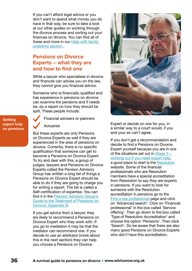If you can't afford legal advice or you don't want to spend what money you do have in that way, be sure to take a look at our other guides on working through the divorce process and sorting out your finances on divorce. You can find all of these and more in our [Help with family](https://www.advicenow.org.uk/help-deal-family-problems)  [problems section.](https://www.advicenow.org.uk/help-deal-family-problems)

### **Pensions on Divorce Experts – what they are and how to find one**

While a lawyer who specialises in divorce and finances can advise you on the law, they cannot give you financial advice.

Someone who is financially qualified and has experience in pensions on divorce can examine the pensions and if needs be, do a report on how they should be split. These people include:

**Getting expert help on pensions** Financial advisers or planners

Actuaries

But these experts are only Pensions on Divorce Experts as well if they are experienced in the area of pensions on divorce. Currently, there is no specific qualification that someone can get to become a Pensions on Divorce Expert. To try and deal with this, a group of judges, lawyers and Pensions on Divorce Experts called the Pension Advisory Group has written a long list of things a Pensions on Divorce Expert should be able to do if they are going to charge you for writing a report. The list is called a Self-certification of expertise. You can find it in the [Pension Advisory Group's](https://www.nuffieldfoundation.org/sites/default/files/files/Guide_To_The_Treatment_of_Pensions_on_Divorce-Digital(1).pdf)  [Guide to the Treatment of Pensions on](https://www.nuffieldfoundation.org/sites/default/files/files/Guide_To_The_Treatment_of_Pensions_on_Divorce-Digital(1).pdf)  [Divorce, Appendix D](https://www.nuffieldfoundation.org/sites/default/files/files/Guide_To_The_Treatment_of_Pensions_on_Divorce-Digital(1).pdf).

If you get advice from a lawyer, they are likely to recommend a Pensions on Divorce Expert who they work with. If you go to mediation it may be that the mediator can recommend one. If you decide to use an arbitrator (more about this in the next section) they can help you choose a Pensions on Divorce

![](_page_35_Picture_9.jpeg)

Expert or decide on one for you, in a similar way to a court would, if you and your ex can't agree.

If you don't get a recommendation and decide to find a Pensions on Divorce Expert yourself because you are in one of the situations set out in Stage  $3$ [working out if you need expert help,](#page-28-0) a good place to start is the [Resolution](https://resolution.org.uk/find-a-law-professional/) website. Some of the financial professionals who are Resolution members have a special accreditation from Resolution to say they are experts in pensions. If you want to look for someone with the Resolution accreditation in pensions go to the [Find a law professional](https://resolution.org.uk/find-a-law-professional/) page and click on 'Advanced search'. Click on 'Financial professional' in the box called 'Service offering'. Then go down to the box called 'Type of Resolution Accreditation' and choose the option 'Pensions'. Then click 'Search'. Do be aware that there are also many good Pensions on Divorce Experts who don't have this accreditation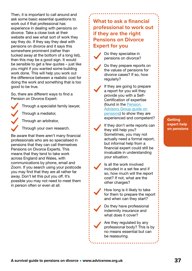Then, it is important to call around and ask some basic essential questions to work out if that professional has experience in dealing with pensions on divorce. Take a close look at their website and see what sort of work they say they do. If they say they deal with pensions on divorce and it says this somewhere prominent (rather than tucked away at the bottom of a long list), then this may be a good sign. It would be sensible to get a few quotes – just like you might if you wanted some building work done. This will help you work out the difference between a realistic cost for doing the work and something that is too good to be true.

So, there are different ways to find a Pension on Divorce Expert:

Through a specialist family lawyer, Through a mediator,

Through an arbitrator,

Through your own research.

Be aware that there aren't many financial professionals who are so specialised in pensions that they can call themselves Pensions on Divorce Experts. This means that they tend to take work across England and Wales, with communications by phone, email and Zoom. If you search using your postcode you may find that they are all rather far away. Don't let this put you off. It's possible you may not need to meet them in person often or even at all.

![](_page_36_Picture_6.jpeg)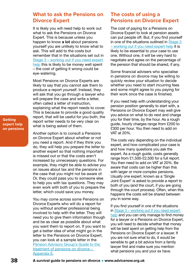### **What to ask the Pensions on Divorce Expert**

It is likely you will need help to work out what to ask the Pensions on Divorce Expert. This is because unless you happen to know **a lot** about pensions yourself you are unlikely to know what to ask. This will add to the costs but remember that in the situations set out in [Stage 3 – working out if you need expert](#page-28-0)  [help](#page-28-0) this is likely to be money well spent – the cost of getting it wrong could be eye-watering.

Most Pensions on Divorce Experts are likely to say that you cannot ask them to produce a report yourself. Instead, they will ask that you go through a lawyer who will prepare the case and write a letter. often called a letter of instruction, explaining what the report needs to cover. This is because to provide a good quality report, that will be useful for you both, the report writer needs to be very clear on what is being asked of them.

Another option is to consult a Pensions on Divorce Expert about whether or not you need a report. And if they think you do, they will help you prepare the letter to another expert so that nothing important is missed out or that the costs aren't increased by unnecessary questions. For example, they might be able to advise you on issues about tax and the pensions in the case that you might not be aware of. Or, they could pass you to someone else to help you with tax questions. They may even work with both of you to prepare the letter, which could save you money.

You may come across some Pensions on Divorce Experts who will do a report for you without another professional being involved to help with the letter. They will need you to give them information though and be as clear as possible about what you want them to report on. If you want to get a better idea of what might go in the letter to the Pensions on Divorce Expert, you can look at a sample letter in the [Pension Advisory Group's Guide to the](https://www.nuffieldfoundation.org/sites/default/files/files/Guide_To_The_Treatment_of_Pensions_on_Divorce-Digital(1).pdf)  [treatment of pensions on divorce –](https://www.nuffieldfoundation.org/sites/default/files/files/Guide_To_The_Treatment_of_Pensions_on_Divorce-Digital(1).pdf)  [Appendix E.](https://www.nuffieldfoundation.org/sites/default/files/files/Guide_To_The_Treatment_of_Pensions_on_Divorce-Digital(1).pdf)

### **The costs of using a Pensions on Divorce Expert**

The cost of paying for a Pensions on Divorce Expert to look at pension assets can put people off. But, if you find yourself in one of the situations outlined in [Stage 3](#page-28-0)  [– working out if you need expert help](#page-28-0) it is likely to be essential to your case to use one. Without one, it will be very hard to negotiate and agree on the percentage of the pension that should be shared, if any.

Some financial advisers who specialise in pensions on divorce may be willing to quickly review your situation to decide whether you need to start incurring fees and some might agree to you paying for their work once the case is finished.

If you need help with understanding your pension position generally to start with, a Pensions on Divorce Expert may well give you advice on what to do next and charge you for their time, by the hour. As a rough guide, hourly charges range from £200 to £300 per hour. You then need to add on VAT at 20%.

The costs vary depending on the individual expert, and how complicated your case is and how many questions you ask the expert. As a rough guide, costs generally range from £1,500-£2,500 for a full report. You then need to add on VAT at 20%. Be aware that costs can be higher than this with larger or more complex pensions. Usually one expert, known as a 'Single Joint Expert' is asked to provide a report to both of you (and the court, if you are going through the court process). Often, when this happens the costs will be shared between you in some way.

If you find yourself in one of the situations in [Stage 3 – working out if you need expert](#page-28-0)  [help](#page-28-0) and you can only manage to find money for a lawyer or a Pensions on Divorce Expert, you will need to decide whether that money will be best spent on getting help from the Pensions on Divorce Expert or a lawyer. If you are not sure what to do, it would be sensible to get a bit advice from a family lawyer first and make sure you mention what pensions you and your ex have.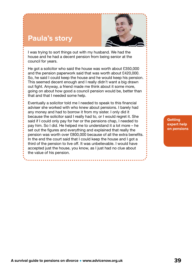### **Paula's story**

![](_page_38_Picture_1.jpeg)

I was trying to sort things out with my husband. We had the house and he had a decent pension from being senior at the council for years.

He got a solicitor who said the house was worth about £350,000 and the pension paperwork said that was worth about £420,000. So, he said I could keep the house and he would keep his pension. This seemed decent enough and I really didn't want a big drawn out fight. Anyway, a friend made me think about it some more, going on about how good a council pension would be, better than that and that I needed some help.

Eventually a solicitor told me I needed to speak to this financial adviser she worked with who knew about pensions. I barely had any money and had to borrow it from my sister. I only did it because the solicitor said I really had to, or I would regret it. She said if I could only pay for her or the pensions chap, I needed to pay him. So I did. He helped me to understand it a lot more – he set out the figures and everything and explained that really the pension was worth over £800,000 because of all the extra benefits. In the end the court said that I could keep the house and I got a third of the pension to live off. It was unbelievable. I would have accepted just the house, you know, as I just had no clue about the value of his pension.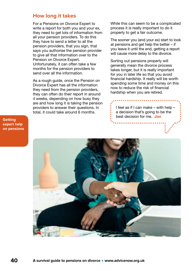### **How long it takes**

For a Pensions on Divorce Expert to write a report for both you and your ex, they need to get lots of information from all your pension providers. To do this they have to send a letter to all the pension providers, that you sign, that says you authorise the pension provider to give all that information over to the Pension on Divorce Expert. Unfortunately, it can often take a few months for the pension providers to send over all the information.

As a rough guide, once the Pension on Divorce Expert has all the information they need from the pension providers, they can often do their report in around 4 weeks, depending on how busy they are and how long it is taking the pension providers to answer their questions. In total, it could take around 6 months.

While this can seem to be a complicated process it is really important to do it properly to get a fair outcome.

The sooner you (and your ex) start to look at pensions and get help the better – if you leave it until the end, getting a report will cause more delay to the divorce.

Sorting out pensions properly will generally mean the divorce process takes longer, but it is really important for you in later life so that you avoid financial hardship. It really will be worth spending some time and money on this now to reduce the risk of financial hardship when you are retired.

I feel as if I can make – with help – a decision that's going to be the best decision for me. Jon

![](_page_39_Picture_7.jpeg)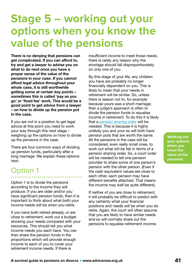#### produce. If you are older and/or you have significant pension funds, then it is important to think about what both your any certainty what your financial

**A survival guide to pensions on divorce • www.advicenow.org.uk 41**

# <span id="page-40-0"></span>**Stage 5 – working out your options when you know the value of the pensions**

There is no denying that pensions can get complicated. If you can afford to, try and get a lawyer to advise you on what to do next once you have a proper sense of the value of the pensions in your case. If you cannot afford legal advice throughout your whole case, it is still worthwhile getting some at certain key points – sometimes this is called 'pay as you go' or 'fixed fee' work. This would be a good point to get advice from a lawyer – on how to divide up the pension pot in the case.

If you are not in a position to get legal advice at this point you need to work your way through this next stage – weighing up the options on how to divide up the pensions in the case.

There are four common ways of dividing up pension funds, particularly after a long marriage. We explain these options next.

### Option 1

Option 1 is to divide the pensions according to the income they will income needs will be when you retire.

If you have both retired already, or are close to retirement, work out a budget showing your needs compared with your resources. This should tell you what income needs you each have. You can then share the pension funds in the proportions which will provide enough income to each of you to cover your retirement income needs. If there is

insufficient income to meet those needs, there is rarely any reason why the shortage should fall disproportionately on only one of you.

By this stage of your life, any children you have are probably no longer financially dependent on you. This is likely to mean that your needs in retirement will be similar. So, unless there is reason not to, for example because yours was a short marriage, then a judge's approach is often to divide the pension funds to equalise income in retirement. To do this it is likely that a [pension sharing order](#page-15-0) will be needed. This is because it is highly unlikely you and your ex will both have pension pots that are worth the same. All the pensions in the case will be considered, even really small ones, to work out what will be fair in terms of a pension sharing order. So, a court order will be needed to tell one pension provider to share some of one person's pension with the other person. (Even if the cash equivalent values are close to each other, each pension may have different benefits attached. That means the income may well be quite different).

If neither of you are close to retirement, it will probably be difficult to predict with positions and needs will be when you do retire. Again, the court will often assume that you are likely to have similar needs and so will normally share out the pensions to equalise retirement income.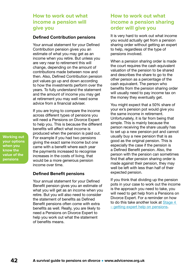### **How to work out what income a pension will give you**

#### **Defined Contribution pensions**

Your annual statement for your Defined Contribution pension gives you an estimate of what you may get as an income when you retire. But unless you are very near to retirement this will change, depending on the amount of contributions made between now and then. Also, Defined Contribution pension pot values go up and down according to how the investments perform over the years. To fully understand the statement and the amount of income you may get at retirement you may well need some advice from a financial adviser.

If you are trying to compare the income across different types of pensions you will need a Pensions on Divorce Expert to help you. This is because the different benefits will affect what income is produced when the pension is paid out. For example if you had two pensions giving the exact same income but one came with a benefit where each year the payments increased to recognise increases in the costs of living, that would be a more generous pension income over time.

#### **Defined Benefit pensions**

Your annual statement for your Defined Benefit pension gives you an estimate of what you will get as an income when you retire. But you will also need to consider the statement of benefits as Defined Benefit pensions often come with extra benefits as well. Really, you are likely to need a Pensions on Divorce Expert to help you work out what the statement of benefits means.

### **How to work out what income a pension sharing order will give you**

It is very hard to work out what income you would actually get from a pension sharing order without getting an expert to help, regardless of the type of pensions involved.

When a pension sharing order is made the court requires the cash equivalent valuation of the pension to be shared and describes the share to go to the other person as a percentage of the cash equivalent. The person who benefits from the pension sharing order will usually need to pay income tax on the money they eventually get.

You might expect that a 50% share of your ex's pension pot would give you the same income in retirement. Unfortunately, it is far from being that simple. This is mainly because the person receiving the share usually has to set up a new pension pot and cannot usually buy a new pension that is as good as the original pension. This is especially the case if the pension is a Defined Benefit pension. Also, the person with the pension can sometimes find that after pension sharing order is made against their pension, they may well be left with less than half of their expected pension.

If you think that dividing up the pension pots in your case to work out the income is the approach you need to take, you will need to get help from a Pensions on Divorce Expert. For a reminder on how to do this take another look at [Stage 4](#page-32-0)  [– getting expert help on pensions.](#page-32-0)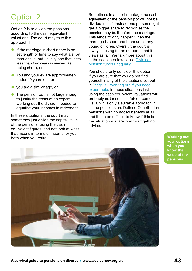### Option 2

Option 2 is to divide the pensions according to the cash equivalent valuations. The court may take this approach if:

- **•** If the marriage is short (there is no set length of time to say what a short marriage is, but usually one that lasts less than 6-7 years is viewed as being short), or
- You and your ex are approximately under 40 years old, or
- you are a similar age, or
- The pension pot is not large enough to justify the costs of an expert working out the division needed to equalise your incomes in retirement.

In these situations, the court may sometimes just divide the capital value of the pensions, using the cash equivalent figures, and not look at what that means in terms of income for you both when you retire.

Sometimes in a short marriage the cash equivalent of the pension pot will not be divided in half. Instead one person might get a bigger share to recognise the pension they built before the marriage. This tends to only happen when the marriage is short and there aren't any young children. Overall, the court is always looking for an outcome that it views as fair. We talk more about this in the section below called [Dividing](#page-44-0)  [pension funds unequally.](#page-44-0)

You should only consider this option if you are sure that you do not find yourself in any of the situations set out in [Stage 3 – working out if you need](#page-28-0)  [expert help](#page-28-0). In those situations just using the cash equivalent valuations will probably **not** result in a fair outcome. Usually it is only a suitable approach if all the pensions are Defined Contribution pensions with no added benefits at all and it can be difficult to know if this is the situation you are in without getting advice.

![](_page_42_Picture_10.jpeg)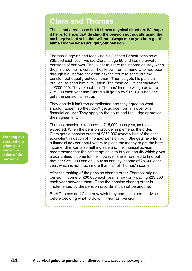### **Clara and Thomas**

This is not a real case but it shows a typical situation. We hope it helps to show that dividing the pension pot equally using the cash equivalent valuation will not always mean you both get the same income when you get your pension.

Thomas is age 65 and receiving his Defined Benefit pension of £30,000 each year. His ex, Clara, is age 60 and has no private pensions of her own. They want to share the income equally when they finalise their divorce. They know, from a friend who had been through it all before, they can ask the court to share out the pension pot equally between them. Thomas gets his pension provider to send him a valuation. The cash equivalent valuation is £700,000. They expect that Thomas' income will go down to £15,000 each year and Clara's will go up by £15,000 when she gets the pension all set up.

They decide it isn't too complicated and they agree on what should happen, so they don't get advice from a lawyer or a financial adviser. They apply to the court and the judge approves their agreement.

Thomas' pension is reduced to £15,000 each year, as they expected. When the pension provider implements the order, Clara gets a pension credit of £350,000 (exactly half of the cash equivalent valuation of Thomas' pension pot). She gets help from a financial adviser about where to place the money to get the best income. She wants something safe and the financial adviser recommends that the safest option is to buy an annuity which gives a guaranteed income for life. However, she is horrified to find out that her £350,000 can only buy an annuity income of £8,600 each year, which is not much more than half of Thomas' income.

After the making of the pension sharing order, Thomas' original pension income of £30,000 each year is now only paying £23,600 each year between them. Once the pension sharing order is implemented by the pension provider it cannot be undone.

Both Thomas and Clara now wish they had taken some advice before deciding what to do with Thomas' pension.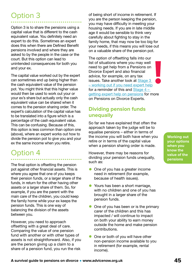### <span id="page-44-0"></span>Option 3

Option 3 is to share the pensions using a capital value that is different to the cash equivalent value. You definitely need an expert to do this. Sometimes an expert does this when there are Defined Benefit pensions involved and where they are asked to by the people in the case or the court. But this option can lead to unintended consequences for both you and your ex.

The capital value worked out by the expert can sometimes end up being higher than the cash equivalent value of the pension pot. You might think that this higher value would then be used to work out your or your ex's share but actually only the cash equivalent value can be shared when it comes to the pension sharing order. The expert's calculation of the capital value has to be translated into a figure which is a percentage of the cash equivalent value. This can be confusing. Because of this, this option is less common than option one (above), where an expert works out how to divide the pension pot to give you and your ex the same income when you retire.

### Option 4

The final option is offsetting the pension pot against other financial assets. This is where you agree that one of you keeps their pension funds, or a larger share of the funds, in return for the other having other assets or a larger share of them. So, for example, if you are the parent with the main care of the children, you could keep the family home while your ex keeps the pension funds. This is one way of balancing the division of the assets between you.

However, you need to approach offsetting with a great deal of care. Comparing the value of one pension fund with another or with other types of assets is not straightforward. Also, if you are the person giving up a claim to a share of a pension fund, you run the risk

of being short of income in retirement. If you are the person keeping the pension, you may have difficulty in meeting your housing needs. If you are in late middle age it would be sensible to think very carefully about fighting to stay in the family home, that may now be too big for your needs, if this means you will lose out on a valuable share of the pension pot.

The option of offsetting falls into our list of situations where you may well need to get help from a Pensions on Divorce Expert and also financial advice, for example, on any tax issues. Take another look at [Stage 3](#page-28-0)  [– working out if you need expert help](#page-28-0) for a reminder of this and Stage  $4$ [getting expert help on pensions](#page-32-0) for more on Pensions on Divorce Experts.

### **Dividing pension funds unequally**

So far we have explained that often the approach taken by the judge will be to equalise pensions – either in terms of the income you will both have when you retire or in terms of the capital value when a pension sharing order is made.

However, there may be reasons for dividing your pension funds unequally, such as:

- One of you has a greater income need in retirement (for example, because of health issues).
- Yours has been a short marriage, with no children and one of you has brought in a larger share of the pension funds.
- One of you has been or is the primary carer of the children and this has impacted / will continue to impact on both your ability to earn money outside the home and make pension contributions.
- One or both of you will have other non-pension income available to you in retirement (for example, rental income).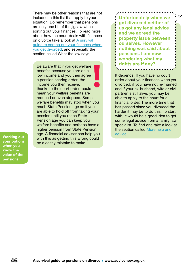There may be other reasons that are not included in this list that apply to your situation. Do remember that pensions are only one bit of the jigsaw when sorting out your finances. To read more about how the court deals with finances on divorce take a look at [A survival](https://www.advicenow.org.uk/guides/survival-guide-sorting-out-your-finances-when-you-get-divorced)  [guide to sorting out your finances when](https://www.advicenow.org.uk/guides/survival-guide-sorting-out-your-finances-when-you-get-divorced)  [you get divorced,](https://www.advicenow.org.uk/guides/survival-guide-sorting-out-your-finances-when-you-get-divorced) and especially the section called What the law says.

**Re aware that if you get welfare <b>Research Contact Struth** is rights are if any? benefits because you are on a low income and you then agree a pension sharing order, the income you then receive, thanks to the court order, could mean your welfare benefits are reduced or even stopped. Some welfare benefits may stop when you reach State Pension age so if you are able to hold off from taking your pension until you reach State Pension age you can keep your welfare benefits and perhaps have a higher pension from State Pension age. A financial adviser can help you with this as getting this wrong could be a costly mistake to make.

**Working out your options when you know the value of the pensions**

**Unfortunately when we got divorced neither of us got any legal advice and we agreed the property issue between ourselves. However nothing was said about pensions. I am now wondering what my** 

It depends. If you have no court order about your finances when you divorced, if you have not re-married and if your ex-husband, wife or civil partner is still alive, you may be able to apply to the court for a financial order. The more time that has passed since you divorced the harder it may be to do this. To start with, it would be a good idea to get some legal advice from a family law specialist. To find one take a look at the section called [More help and](#page-56-0)  [advice](#page-56-0).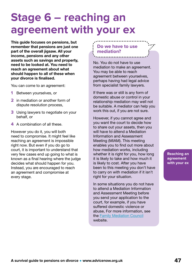### <span id="page-46-0"></span>**Stage 6 – reaching an agreement with your ex**

This guide focuses on pensions, but remember that pensions are just one part of the overall jigsaw. All your income, pensions and any other assets such as savings and property, need to be looked at. You need to reach an agreement about what should happen to all of these when your divorce is finalised.

You can come to an agreement:

- **1** Between yourselves, or
- **2** in mediation or another form of dispute resolution process,
- **3** Using lawyers to negotiate on your behalf, or
- **4** A combination of all these.

However you do it, you will both need to compromise. It might feel like reaching an agreement is impossible right now. But even if you do go to court, it is important to understand that very few cases end up going to what is known as a final hearing where the judge decides what should happen for you. Instead, you are encouraged to reach an agreement and compromise at every stage.

### **Do we have to use mediation?**

No. You do not have to use mediation to make an agreement. You may be able to reach agreement between yourselves, perhaps having had legal advice from specialist family lawyers.

If there was or still is any form of domestic abuse or control in your relationship mediation may well not be suitable. A mediator can help you work this out, if you are not sure.

However, if you cannot agree and you want the court to decide how to share out your assets, then you will have to attend a Mediation Information and Assessment Meeting (MIAM). This meeting enables you to find out more about how mediation works, including whether it is right for you, how long it is likely to take and how much it is likely to cost. After you have been to this meeting you don't have to carry on with mediation if it isn't right for your situation.

In some situations you do not have to attend a Mediation Information and Assessment Meeting before you send your application to the court, for example, if you have suffered domestic violence or abuse, For more information, see the [Family Mediation Council](https://www.advicenow.org.uk/links/family-mediation-council) website.

**Reaching an agreement with your ex**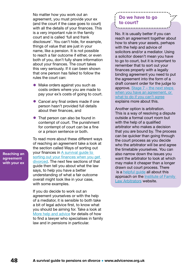No matter how you work out an agreement, you must provide your ex (and the court if the case goes to court) with all the details of your finances. This is a very important rule in the family court and is called 'full and frank disclosure'. You can't hide, for example, things of value that are just in your name, like a pension. It is not possible to reach a fair outcome if either, or even both of you, don't fully share information about your finances. The court takes this very seriously. If it can been shown that one person has failed to follow the rules the court can:

- Make orders against you such as costs orders where you are made to pay your ex's costs of going to court.
- Cancel any final orders made if one person hasn't provided full details about their finances, and
- That person can also be found in contempt of court. The punishment for contempt of court can be a fine or a prison sentence or both.

To read more about these different ways of reaching an agreement take a look at the section called Ways of sorting out your finances in A survival guide to [sorting out your finances when you get](https://www.advicenow.org.uk/guides/survival-guide-sorting-out-your-finances-when-you-get-divorced)  [divorced](https://www.advicenow.org.uk/guides/survival-guide-sorting-out-your-finances-when-you-get-divorced). The next few sections of that guide then tell you about what the law says, to help you have a better understanding of what a fair outcome overall might look like in your case, with some examples.

If you do decide to work out an agreement yourselves or with the help of a mediator, it is sensible to both take a bit of legal advice first, to know what you should be aiming for. Take a look at [More help and advice](#page-56-0) for details of how to find a lawyer who specialises in family law and in pensions in particular.

### **Do we have to go to court?**

No. It is usually better if you can reach an agreement together about how to share your assets, perhaps with the help and advice of solicitors and/or a mediator. Using a solicitor doesn't mean you have to go to court, but it is important to remember that to sort out your finances properly with a legally binding agreement you need to put the agreement into the form of a draft consent order for the judge to approve. [Stage 7 – the next steps](#page-49-0)  when you have an agreement, or [what to do if you can't agree](#page-49-0) explains more about this.

Another option is arbitration. This is a way of resolving a dispute outside a formal court room but with the help of a qualified arbitrator who makes a decision that you are bound by. The process can be quicker than going through the court process as you decide who the arbitrator will be and agree the timetable yourselves. You can also narrow down the issues you want the arbitrator to look at which may make it cheaper than a longer drawn out court process. There is a [helpful guide](http://ifla.org.uk/divi/wp-content/uploads/Public.pdf) all about this approach on the [Institute of Family](http://ifla.org.uk/)  [Law Arbitrators](http://ifla.org.uk/) website.

**Reaching an agreement with your ex**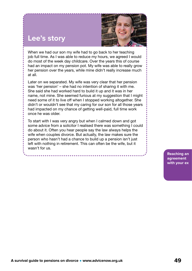![](_page_48_Picture_0.jpeg)

When we had our son my wife had to go back to her teaching job full time. As I was able to reduce my hours, we agreed I would do most of the week day childcare. Over the years this of course had an impact on my pension pot. My wife was able to really grow her pension over the years, while mine didn't really increase much at all.

**Lee's story**

Later on we separated. My wife was very clear that her pension was 'her pension' – she had no intention of sharing it with me. She said she had worked hard to build it up and it was in her name, not mine. She seemed furious at my suggestion that I might need some of it to live off when I stopped working altogether. She didn't or wouldn't see that my caring for our son for all those years had impacted on my chance of getting well-paid, full time work once he was older.

To start with I was very angry but when I calmed down and got some advice from a solicitor I realised there was something I could do about it. Often you hear people say the law always helps the wife when couples divorce. But actually, the law makes sure the person who hasn't had a chance to build up a pension isn't just left with nothing in retirement. This can often be the wife, but it wasn't for us.

> **Reaching an agreement with your ex**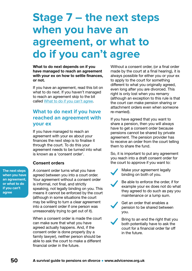### <span id="page-49-0"></span>**Stage 7 – the next steps when you have an agreement, or what to do if you can't agree**

What to do next depends on if you have managed to reach an agreement with your ex on how to settle finances, or not.

If you have an agreement, read this bit on what to do next. If you haven't managed to reach an agreement skip to the bit called [What to do if you can't agree](#page-55-0).

### **What to do next if you have reached an agreement with your ex**

If you have managed to reach an agreement with your ex about your finances the next step is to finalise it through the court. To do this your agreement needs to be turned into what is known as a 'consent order'.

### **Consent orders**

A consent order turns what you have agreed between you into a court order. Your agreement without a consent order is informal, not final, and strictly speaking, not legally binding on you. This means it cannot be enforced by the court (although in some situations the court may be willing to turn a clear agreement into a consent order if one person was unreasonably trying to get out of it).

When a consent order is made the court can make sure that what you have agreed actually happens. And, if the consent order is done properly (by a family lawyer), neither person should be able to ask the court to make a different financial order in the future.

Without a consent order, (or a final order made by the court at a final hearing), it is always possible for either you or your ex to apply to the court for something different to what you originally agreed, even long after you are divorced. This right is only lost when you remarry (although an exception to this rule is that the court can make pension sharing or attachment orders even when someone re-married).

If you have agreed that you want to share a pension, then you will always have to get a consent order because pensions cannot be shared by private agreement. The pension provider has to receive an order from the court telling them to share the fund.

So, it is important to put any agreement you reach into a draft consent order for the court to approve if you want to:

Make your agreement legally binding on both of you.

Be able to enforce the order, if for example your ex does not do what they agreed to do such as pay you maintenance or a lump sum.

Get an order that enables a pension to be shared between you.

Bring to an end the right that you both potentially have to ask the court for a financial order far off in the future.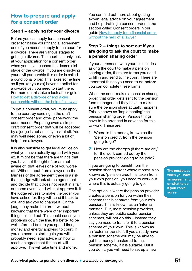### **How to prepare and apply for a consent order**

### **Step 1 – applying for your divorce**

Before you can apply for a consent order to finalise your financial agreement one of you needs to apply to the court for a divorce. There are various stages to getting a divorce. The court can only look at your application for a consent order when you have reached the decree nisi stage of the divorce. If you are dissolving your civil partnership this order is called a conditional order. This takes some time so if you (or your ex) haven't applied for a divorce yet, you need to start there. For more on this take a look at our guide [How to get a divorce or end a civil](https://www.advicenow.org.uk/guides/how-get-divorce-or-end-civil-partnership-without-help-lawyer)  [partnership without the help of a lawyer.](https://www.advicenow.org.uk/guides/how-get-divorce-or-end-civil-partnership-without-help-lawyer)

To get a consent order, you must apply to the court by sending in the draft consent order and other paperwork the court needs. Preparing even a simple draft consent order that will be accepted by a judge is not an easy task at all. You may well need some, or even a lot of, help from a lawyer.

It is also sensible to get legal advice on what you have actually agreed with your ex. It might be that there are things that you have not thought of, or are not aware of, that leaves one of you worse off. Without input from a lawyer on the fairness of the agreement there is a risk that a judge will look at the agreement and decide that it does not result in a fair outcome overall and will not approve it. If the judge refuses to make the order you have asked for, they will send it back to you and ask you to change it. Or, the judge may make the order without knowing that there were other important things missed out. This could cause you problems down the line. It's better to be well informed before you spend time, money and energy applying to court. If you do need to start again you will probably need legal advice on how to reach an agreement the court will approve. This will take time and money.

You can find out more about getting expert legal advice on your agreement and help drafting a consent order in the section called Consent orders in our guide [How to apply for a financial order](https://www.advicenow.org.uk/guides/how-apply-financial-order-without-help-lawyer)  [without the help of a lawyer.](https://www.advicenow.org.uk/guides/how-apply-financial-order-without-help-lawyer)

### **Step 2 – things to sort out if you are going to ask the court to make a pension sharing order**

If your agreement with your ex includes asking the court to make a pension sharing order, there are forms you need to fill in and send to the court. There are important things you need to do before you can complete these forms.

When the court makes a pension sharing order, that order gets sent to the pension fund manager and they have to make sure the pension share actually happens. This is known as 'implementing' the pension sharing order. Various things have to be arranged in advance for this to work. These are:

- **1** Where is the money, known as the 'pension credit', from the pension going to go?
- **2** How are the charges (if there are any) for the work carried out by the pension provider going to be paid?

If you are going to benefit from the pension sharing order where money, also known as 'pension credit', is taken from your ex's pension, you need to work out where this is actually going to go.

One option is where the pension provider creates a pension for you within their scheme that is separate from your ex's pension. This is known as an 'internal transfer'. But, most pension providers, unless they are public sector pension schemes, will not do this – instead they say you need to transfer it to a pension scheme of your own. This is known as an 'external transfer'. If you already have a pension scheme you may be able to get the money transferred to that pension scheme, if it is suitable. But if you don't, you will need to set up a new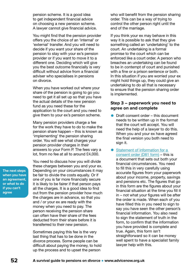pension scheme. It is a good idea to get independent financial advice on choosing a new pension scheme. A lawyer cannot give financial advice.

You might find that the pension provider offers you the choice of an 'internal' or 'external' transfer. And you will need to decide if you want your share of the pension to stay with your ex's pension provider or if you want to move it to a different one. Deciding which will give you the best outcome financially is very difficult without advice from a financial adviser who specialises in pensions on divorce.

When you have worked out where your share of the pension is going to go you need to get it all set up so that you have the actual details of the new pension fund as you need these for the application to the court and you need to give them to your ex's pension scheme.

Many pension providers charge a fee for the work they have to do to make the pension share happen – this is known as 'implementing' the pension sharing order. You will see what charges your pension provider charges in their answers to your Form P. The fees vary a lot, from no fee at all to around £4,000.

You need to discuss how you will divide these charges between you and your ex. Depending on your circumstances it may be fair to divide the costs equally. Or if one of you is far more financially secure it is likely to be fairer if that person pays all the charges. It is a good idea to find out from the pension provider how much the charges are in advance, so that you and / or your ex are ready with the money when you need to pay. The person receiving the pension share can often have their share of the fees deducted from their share before it is transferred to their new pension.

Sometimes paying this fee is the very last thing that has to be done in the divorce process. Some people can be difficult about paying the money, to hold up the process and to upset the person

who will benefit from the pension sharing order. This can be a way of trying to control the other person right until the end of the marriage.

If you think your ex may behave in this way it is possible to ask that they give something called an 'undertaking' to the court. An undertaking is a formal promise to the court which can be enforced like a court order. A person who breaches an undertaking can be found to be in contempt of court and punished with a fine or a prison sentence or both. In this situation if you are worried your ex might hold things up, they could give an undertaking to do all that is necessary to ensure that the pension sharing order is implemented.

#### **Step 3 – paperwork you need to agree on and complete**

- Draft consent order this document needs to be written up in the format that the court will accept. You will need the help of a lawyer to do this. When you and your ex have agreed the final version you both need to sign it.
- Statement of information for a [consent order \(D81 form\)](https://www.gov.uk/government/publications/form-d81-statement-of-information-for-a-consent-order-in-relation-to-a-financial-remedy) - this is a document that sets out both your financial circumstances. You need to fill this in very carefully using accurate figures from your paperwork about your income, property, savings and pensions etc. The figures that go in this form are the figures about your financial situation at the time you fill it in – not what your figures will be after the order is made. When each of you have filled this in you need to sign to say you have seen the other person's financial information. You also need to sign the statement of truth in the form, to confirm that the information you have provided is complete and true. Again, this form isn't straightforward so it can be money well spent to have a specialist family lawyer help with this.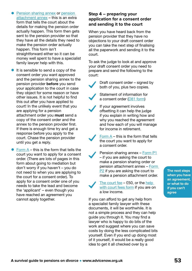- [Pension sharing annex](https://assets.publishing.service.gov.uk/government/uploads/system/uploads/attachment_data/file/688240/form-p1-eng.pdf) or pension [attachment annex](https://assets.publishing.service.gov.uk/government/uploads/system/uploads/attachment_data/file/688244/form-p2-eng.pdf) – this is an extra form that tells the court about the details for making the pension order actually happen. This form then gets sent to the pension provider so that they have all the details they need to make the pension order actually happen. This form isn't straightforward either so it can be money well spent to have a specialist family lawyer help with this.
- $\bullet$  It is sensible to send a copy of the consent order you want approved and the pension sharing annex to the pension provider **before** you send your application to the court in case they object for some reason or have other issues. It is not helpful to find this out after you have applied to court! In the unlikely event that you are applying for a pension attachment order you must send a copy of the consent order and the annex to the pension provider first. If there is enough time try and get a response before you apply to the court. Chase the pension provider until you get a reply.
- $\bullet$  [Form A](https://www.gov.uk/government/publications/form-a-notice-of-intention-to-proceed-with-an-application-for-a-financial-order) this is the form that tells the court you want to apply for a consent order. (There are lots of pages in this form about going to mediation but don't worry if you haven't – you do not need to when you are applying to the court for a consent order). To apply for a consent order one of you needs to take the lead and become the 'applicant' – even though you have reached an agreement you cannot apply together.

### **Step 4 – preparing your application for a consent order and sending it to the court**

When you have heard back from the pension provider that they have no objections to your draft consent order you can take the next step of finalising all the paperwork and sending it to the court.

To ask the judge to look at and approve your draft consent order you need to prepare and send the following to the court:

![](_page_52_Picture_6.jpeg)

Draft consent order – signed by both of you, plus two copies.

Statement of information for a consent order ([D81 form\)](https://www.gov.uk/government/publications/form-d81-statement-of-information-for-a-consent-order-in-relation-to-a-financial-remedy)

If your agreement involves offsetting it can help the judge if you explain in writing how and why you reached the agreement and how each of you will manage for income in retirement.

Form  $A$  – this is the form that tells the court you want to apply for a consent order.

Pension sharing annex – [Form P1](https://www.gov.uk/government/publications/make-or-change-a-pension-sharing-order-form-p1) – if you are asking the court to make a pension sharing order or pension attachment annex – [Form](https://assets.publishing.service.gov.uk/government/uploads/system/uploads/attachment_data/file/688244/form-p2-eng.pdf)  [P2](https://assets.publishing.service.gov.uk/government/uploads/system/uploads/attachment_data/file/688244/form-p2-eng.pdf) if you are asking the court to make a pension attachment order.

[The court fee](https://www.gov.uk/government/publications/fees-in-the-civil-and-family-courts-main-fees-ex50) – £50, or the [help](https://www.gov.uk/get-help-with-court-fees)  [with court fees form](https://www.gov.uk/get-help-with-court-fees) if you are on a low income.

If you can afford to get any help from a specialist family lawyer with these documents, it will be worthwhile. It is not a simple process and they can help guide you through it. You may find a lawyer who is happy to do bits of the work and suggest where you can save costs by doing the less complicated bits yourself. Even if you end up doing most of it yourself, it would be a really good idea to get it all checked over by a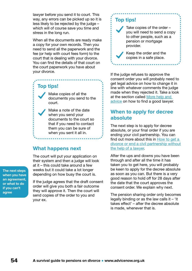lawyer before you send it to court. This way, any errors can be picked up so it is less likely to be rejected by the judge – which will of course save you time and stress in the long run.

When all the documents are ready make a copy for your own records. Then you need to send all the paperwork and the fee (or help with court fees form) to the court that is dealing with your divorce. You can find the details of that court on the court paperwork you have about your divorce.

### **Top tips!**

Make copies of all the documents you send to the court.

Make a note of the date when you send your documents to the court so that if you need to contact them you can be sure of when you sent it all in.

### **What happens next**

The court will put your application on their system and then a judge will look at it – this could take around a few weeks but it could take a lot longer depending on how busy the court is.

If the judge agrees that the draft consent order will give you both a fair outcome they will approve it. Then the court will send copies of the order to you and your ex.

### **Top tips!**

Take copies of the order – you will need to send a copy to other people, such as a pension or mortgage provider.

Keep the order and the copies in a safe place.

If the judge refuses to approve the consent order you will probably need to get legal advice on how to change it in line with whatever comments the judge made when they rejected it. Take a look at the section called More help and [advice](#page-56-0) on how to find a good lawyer.

### **When to apply for decree absolute**

The next step is to apply for decree absolute, or your final order if you are ending your civil partnership. You can find out more about this in How to get a [divorce or end a civil partnership without](https://www.advicenow.org.uk/guides/how-get-divorce-or-end-civil-partnership-without-help-lawyer)  [the help of a lawyer.](https://www.advicenow.org.uk/guides/how-get-divorce-or-end-civil-partnership-without-help-lawyer)

After the ups and downs you have been through and after all the time it has taken you to get here, you will probably be keen to apply for the decree absolute as soon as you can. But there is a very good reason to hold off for 28 days after the date that the court approves the consent order. We explain why next.

The pension sharing order only becomes legally binding or as the law calls it  $-$  'it takes effect' – after the decree absolute is made, whenever that is.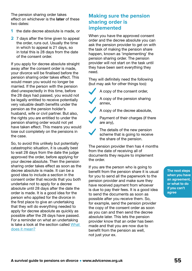The pension sharing order takes effect on whichever is the **later** of these two dates:

- **1** the date decree absolute is made, or
- **2** 7 days after the time given to appeal the order, runs out. Usually the time in which to appeal is 21 days, so in total this is 28 days from the date of the consent order.

If you apply for decree absolute straight away after the consent order is made, your divorce will be finalised before the pension sharing order takes effect. This would mean you would no longer be married. If the person with the pension died unexpectedly in this time, before the 28 days had passed, you would not be legally entitled to receive potentially very valuable death benefits under the pension as the pension holder's husband, wife or civil partner. But also, the rights you are entitled to under the pension sharing order would not yet have taken effect. This means you would lose out completely on the pensions in the case.

So, to avoid this unlikely but potentially catastrophic situation, it is usually best to wait 28 days from the date the judge approved the order, before applying for your decree absolute. Then the pension sharing order takes effect as soon as the decree absolute is made. It can be a good idea to include a section in the consent order that records that you both undertake not to apply for a decree absolute until 28 days after the date the order is made. It is a good idea for the person who applied for the divorce in the first place to give an undertaking that they will do everything needed to apply for decree absolute as quickly as possible after the 28 days have passed. For a reminder on what an undertaking is take a look at the section called [What](#page-59-0)  [does it mean?](#page-59-0)

### **Making sure the pension sharing order is implemented**

When you have the approved consent order and the decree absolute you can ask the pension provider to get on with the task of making the pension share happen, known as 'implementing' the pension sharing order. The pension provider will not start on the task until they have been sent everything they need.

They will definitely need the following (but may ask for other things too):

A copy of the consent order,

A copy of the pension sharing annex,

A copy of the decree absolute,

Payment of their charges (if there are any),

The details of the new pension scheme that is going to receive the share of the pension.

The pension provider then has 4 months from the date of receiving all of documents they require to implement the order.

If you are the person who is going to benefit from the pension share it is usual for you to send all the paperwork to the pension provider and make sure they have received payment from whoever is due to pay their fees. It is a good idea to send the documents as soon as possible after you receive them. So, for example, send the pension provider the copy of the consent order as soon as you can and then send the decree absolute later. This lets the pension provider know that an order has been made and that you are now due to benefit from the pension as well, not just your ex.

![](_page_54_Picture_17.jpeg)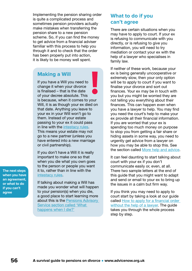<span id="page-55-0"></span>Implementing the pension sharing order is quite a complicated process and sometimes pension providers actually make mistakes when transferring the pension share to a new pension scheme. So, if you can find the money to get advice from a financial adviser familiar with this process to help you through it and to check that the order has been properly put into action, it is likely to be money well spent.

### **Making a Will**

If you have a Will you need to change it when your divorce is finalised – that is the date of your decree absolute. This is because, when it comes to your Will, it is as though your ex died on that date. Anything you leave to your ex in your Will won't go to them. Instead of your estate passing to your ex it could pass in line with the [intestacy rules.](https://www.gov.uk/inherits-someone-dies-without-will) This means your estate may not go to a new partner (unless you have entered into a new marriage or civil partnership).

If you don't have a Will it is really important to make one so that when you die what you own goes to the person or people you want it to, rather than in line with the [intestacy rules.](https://www.gov.uk/inherits-someone-dies-without-will)

If talking about making a Will has made you wonder what will happen to your pension(s) when you die, a good place to start learning more about this is the [Pensions Advisory](https://www.pensionsadvisoryservice.org.uk/about-pensions/when-things-change/bereavement-what-to-do/what-happens-when-i-die/)  [Service section called 'What](https://www.pensionsadvisoryservice.org.uk/about-pensions/when-things-change/bereavement-what-to-do/what-happens-when-i-die/)  [happens when I die?'](https://www.pensionsadvisoryservice.org.uk/about-pensions/when-things-change/bereavement-what-to-do/what-happens-when-i-die/)

### **What to do if you can't agree**

There are certain situations when you may have to apply to court. If your ex is refusing to communicate with you directly, or is refusing to give you information, you will need to try mediation or contact your ex with the help of a lawyer who specialises in family law.

If neither of these work, because your ex is being generally uncooperative or extremely slow, then your only option will be to apply to court if you want to finalise your divorce and sort out finances. Your ex may be in touch with you but you might be worried they are not telling you everything about their finances. This can happen even when you have a lawyer to help. You may find you need the court's help to make your ex provide all their financial information. If you are worried that your ex is spending too much money on purpose to stop you from getting a fair share or hiding assets in some way, you need to urgently get advice from a lawyer on how you may be able to stop this. See the section called [More help and advice](#page-56-0).

It can feel daunting to start talking about court with your ex if you don't communicate easily or, even, at all. There two sample letters at the end of this guide that you might want to adapt and send or email to your ex to bring up the issues in a calm but firm way.

If you think you may need to apply to court start by taking a look at our guide called [How to apply for a financial order](https://www.advicenow.org.uk/guides/how-apply-financial-order-without-help-lawyer)  [without the help of a lawyer](https://www.advicenow.org.uk/guides/how-apply-financial-order-without-help-lawyer). The guide takes you through the whole process step by step.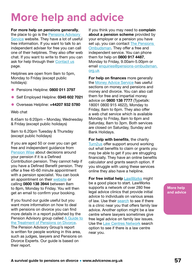# <span id="page-56-0"></span>**More help and advice**

#### For more help on pensions generally,

the place to go is the [Pensions Advisory](https://www.pensionsadvisoryservice.org.uk/)  [Service](https://www.pensionsadvisoryservice.org.uk/) website. They have a lot of useful free information. If you want to talk to an independent adviser for free you can call one of their helplines. They also offer web chat. If you want to write to them you can ask for help through their [Contact us](https://www.pensionsadvisoryservice.org.uk/contacting-us) page.

Helplines are open from 9am to 5pm, Monday to Friday (except public holidays):

- Pensions Helpline: 0800 011 3797
- Self Employed Helpline: 0345 602 7021
- Overseas Helpline: +44207 932 5780

Web chat

8.45am to 6:20pm – Monday, Wednesday & Friday (except public holidays)

9am to 6.20pm Tuesday & Thursday (except public holidays)

If you are aged 50 or over you can get free and independent guidance from [Pension Wise](https://www.pensionwise.gov.uk/en) about decisions around your pension if it is a Defined Contribution pension. They cannot help if you have a Defined Benefit pension. They offer a free 45-60 minute appointment with a pension specialist. You can book an appointment on their [website](https://www.pensionwise.gov.uk/en/telephone-appointments/new) or calling 0800 138 3944 between 8am to 8pm, Monday to Friday. You will then get an email to confirm your booking.

If you found our guide useful but you want more information on how to deal with pensions on divorce you can find more details in a report published by the Pension Advisory group called [A Guide to](https://www.nuffieldfoundation.org/sites/default/files/files/Guide_To_The_Treatment_of_Pensions_on_Divorce-Digital(1).pdf)  [the Treatment of Pensions on Divorce.](https://www.nuffieldfoundation.org/sites/default/files/files/Guide_To_The_Treatment_of_Pensions_on_Divorce-Digital(1).pdf) The Pension Advisory Group's report is written for people working in this area, such as judges, lawyers and Pensions on Divorce Experts. Our guide is based on their report.

If you think you may need to complain about a pension scheme provided by your employer or a pension you have set up, you can contact The Pensions [Ombudsman.](https://www.pensions-ombudsman.org.uk/) They offer a free and independent service. You can phone them for help on 0800 917 4487, Monday to Friday, 9.00am-5.00pm or email [enquiries@pensions-ombudsman.](mailto:enquiries%40pensions-ombudsman.org.uk?subject=) [org.uk](mailto:enquiries%40pensions-ombudsman.org.uk?subject=)

For help on finances more generally the [Money Advice Service](https://www.moneyadviceservice.org.uk/en) has useful sections on money and pensions and money and divorce. You can also call them for free and impartial money advice on 0800 138 7777 (Typetalk: 18001 0800 915 4622), Monday to Friday, 8am to 6pm. They also offer a web chat service which is available Monday to Friday, 8am to 6pm and Saturday, 8am to 3pm. Both services are closed on Saturday, Sunday and Bank Holidays.

For help with benefits, the charity [Turn2us](https://www.turn2us.org.uk/) offer support around working out what benefits to claim or grants you may be able to get if you are struggling financially. They have an online benefits calculator and grants search option. If you struggle with using these services online they also have a helpline.

For free initial help [LawWorks](https://www.advicenow.org.uk/links/lawworks-legal-advice-individuals) might be a good place to start. LawWorks supports a network of over 280 free legal advice clinics that provide initial advice to individuals on various areas of law. Use their [search](https://www.advicenow.org.uk/links/lawworks-clinics-network) to see if there is a clinic near you that offers family law advice. Another option might be a law centre where lawyers sometimes give free legal advice on family law issues. Use the [Law Centres Network](https://www.lawcentres.org.uk/) search option to see if there is a law centre near you.

**More help and advice**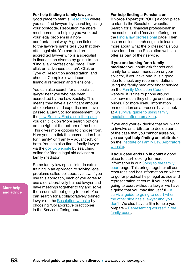#### For help finding a family lawyer a

good place to start is [Resolution](https://resolution.org.uk/) where you can find lawyers by searching using your postcode. Resolution members must commit to helping you work out your legal problem in a nonconfrontational way. A green tick next to the lawyer's name tells you that they offer legal aid. You can find an accredited lawyer who is a specialist in finances on divorce by going to the 'Find a law professional' page. Then, click on 'advanced search'. Click on Type of Resolution accreditation' and choose 'Complex lower income financial remedies' and 'Pensions'.

You can also search for a specialist lawyer near you who has been accredited by the Law Society. This means they have a significant amount of experience and expertise and have passed a Law Society assessment. On the [Law Society Find a solicitor page](https://solicitors.lawsociety.org.uk/) you can click on 'More search options' on the right at the bottom of the box. This gives more options to choose from. Here you can tick the accreditation box for 'Family' or 'Family – advanced', or both. You can also find a family lawyer via the [gov.uk website](https://find-legal-advice.justice.gov.uk/) by searching online for 'find a legal aid adviser or family mediator'.

Some family law specialists do extra training in an approach to solving legal problems called collaborative law. If you use this approach, each of you agree to use a collaboratively trained lawyer and have meetings together to try and solve the issues without going to court. You can search for a collaboratively trained lawyer on the [Resolution website](https://resolution.org.uk/find-a-law-professional/) by choosing 'Collaborative practitioner' in the Service offering box.

For help finding a Pensions on Divorce Expert (or PODE) a good place to start is the Resolution website. Search for a 'financial professional' in the section called 'service offering' on the [Find a law professional](https://resolution.org.uk/find-a-law-professional/) page. Then use an online search engine to learn more about what the professionals you have found on the Resolution website offer as part of their service.

#### If you are looking for a family

mediator you could ask friends and family for a recommendation or your solicitor, if you have one. It is a good idea to check any recommendations using the family mediator finder service on the [Family Mediation Council](https://www.familymediationcouncil.org.uk/find-local-mediator/) website. It is fine to phone around, ask how much they charge and compare prices. For more useful information on mediation as a process have a look at [A survival guide to using family](https://www.advicenow.org.uk/guides/survival-guide-using-family-mediation-after-break)  [mediation after a break up.](https://www.advicenow.org.uk/guides/survival-guide-using-family-mediation-after-break)

If you and your ex decide that you want to involve an arbitrator to decide parts of the case that you cannot agree on, you can get help finding an arbitrator on the [Institute of Family Law Arbitrators](http://ifla.org.uk/search-for-an-arbitrator/)  [website.](http://ifla.org.uk/search-for-an-arbitrator/)

If your case ends up in court a good place to start looking for more information is our [Going to the family](https://www.advicenow.org.uk/family-court)  [court](https://www.advicenow.org.uk/family-court) page. This brings together all our resources and has information on where to go for practical help, legal advice and representation at court. If you end up going to court without a lawyer we have a guide that you may find useful  $-A$ survival quide to going to court when [the other side has a lawyer and you](https://www.advicenow.org.uk/guides/when-other-side-has-lawyer-guide-litigants-person-0)  [don't.](https://www.advicenow.org.uk/guides/when-other-side-has-lawyer-guide-litigants-person-0) We also have a film to help you prepare – Representing yourself in the [family court.](https://www.advicenow.org.uk/guides/representing-yourself-family-court-film)

**More help and advice**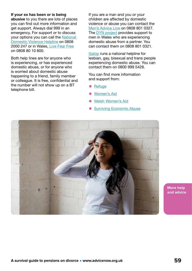#### If your ex has been or is being

abusive to you there are lots of places you can find out more information and get support. Always dial 999 in an emergency. For support or to discuss your options you can call the [National](https://www.nationaldahelpline.org.uk/)  [Domestic Violence Helpline](https://www.nationaldahelpline.org.uk/) on 0808 2000 247 or in Wales, [Live Fear Free](https://www.advicenow.org.uk/links/live-fear-free) on 0808 80 10 800.

Both help lines are for anyone who is experiencing, or has experienced domestic abuse, or for anyone who is worried about domestic abuse happening to a friend, family member or colleague. It is free, confidential and the number will not show up on a BT telephone bill.

If you are a man and you or your children are affected by domestic violence or abuse you can contact the [Men's Advice Line](https://www.advicenow.org.uk/links/mens-advice-line) on 0808 801 0327. The **DYN** project provides support to men in Wales who are experiencing domestic abuse from a partner. You can contact them on 0808 801 0321.

[Galop](https://www.advicenow.org.uk/links/galop) runs a national helpline for lesbian, gay, bisexual and trans people experiencing domestic abuse. You can contact them on 0800 999 5428.

You can find more information and support from:

- [Refuge](https://www.advicenow.org.uk/links/refuge)
- [Women's Aid](https://www.advicenow.org.uk/links/womens-aid)
- [Welsh Women's Aid](https://www.advicenow.org.uk/links/welsh-womens-aid)
- [Surviving Economic Abuse](https://survivingeconomicabuse.org/resources/)

![](_page_58_Picture_10.jpeg)

**More help and advice**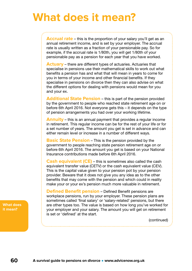# <span id="page-59-0"></span>**What does it mean?**

**Accrual rate** – this is the proportion of your salary you'll get as an annual retirement income, and is set by your employer. The accrual rate is usually written as a fraction of your pensionable pay. So for example, if the accrual rate is 1/80th, you will get 1/80th of your pensionable pay as a pension for each year that you have worked.

**Actuary** – there are different types of actuaries. Actuaries that specialise in pensions use their mathematical skills to work out what benefits a pension has and what that will mean in years to come for you in terms of your income and other financial benefits. If they specialise in pensions on divorce then they can also advise on what the different options for dealing with pensions would mean for you and your ex.

**Additional State Pension** – this is part of the pension provided by the government to people who reached state retirement age on or before 6th April 2016. Not everyone gets this – it depends on the type of pension arrangements you had over your working lifetime.

**Annuity** – this is an annual payment that provides a regular income in retirement. This regular income can be for the rest of your life or for a set number of years. The amount you get is set in advance and can either remain level or increase in a number of different ways.

**Basic State Pension** – This is the pension provided by the government to people reaching state pension retirement age on or before 6th April 2016. The amount you get is based on your National Insurance contributions made before 6th April 2016.

**Cash equivalent (CE)** – this is sometimes also called the cash equivalent transfer value (CETV) or the cash equivalent value (CEV). This is the capital value given to your pension pot by your pension provider. Beware that it does not give you any idea as to the other benefits that may come with the pension and which could in reality make your or your ex's pension much more valuable in retirement.

**Defined Benefit pension** – Defined Benefit pensions are workplace pensions, run by your employer. These pension plans are sometimes called 'final salary' or 'salary-related' pensions, but there are other types too. The value is based on how long you've worked for your employer and your salary. The amount you will get on retirement is set or 'defined' at the start.

(continued)

**What does it mean?**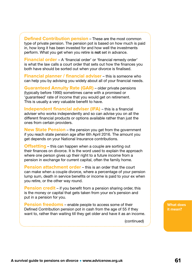**Defined Contribution pension** – These are the most common type of private pension. The pension pot is based on how much is paid in, how long it has been invested for and how well the investments perform. What you get when you retire is not set in advance.

**Financial order** – A 'financial order' or 'financial remedy order' is what the law calls a court order that sets out how the finances you both have should be sorted out when your divorce is finalised.

**Financial planner / financial adviser** – this is someone who can help you by advising you widely about all of your financial needs.

**Guaranteed Annuity Rate (GAR)** – older private pensions (typically before 1990) sometimes came with a promised or 'guaranteed' rate of income that you would get on retirement. This is usually a very valuable benefit to have.

**Independent financial adviser (IFA)** – this is a financial adviser who works independently and so can advise you on all the different financial products or options available rather than just the ones from certain providers.

**New State Pension** – the pension you get from the government if you reach state pension age after 6th April 2016. The amount you get depends on your National Insurance contributions.

**Offsetting** – this can happen when a couple are sorting out their finances on divorce. It is the word used to explain the approach where one person gives up their right to a future income from a pension in exchange for current capital, often the family home.

**Pension attachment order** – this is an order that the court can make when a couple divorce, where a percentage of your pension lump sum, death in service benefits or income is paid to your ex when you retire, or the other way round.

**Pension credit** – if you benefit from a pension sharing order, this is the money or capital that gets taken from your ex's pension and put in a pension for you.

**Pension freedoms** – enable people to access some of their Defined Contribution pension pot in cash from the age of 55 if they want to, rather than waiting till they get older and have it as an income.

(continued)

**What does it mean?**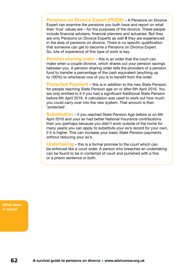**Pensions on Divorce Expert (PODE)** – A Pensions on Divorce Expert can examine the pensions you both have and report on what their 'true' values are – for the purposes of the divorce. These people include financial advisers, financial planners and actuaries. But they are only Pensions on Divorce Experts as well if they are experienced in the area of pensions on divorce. There is no specific qualification that someone can get to become a Pensions on Divorce Expert. So, lots of experience of this type of work is key.

**Pension sharing order** – this is an order that the court can make when a couple divorce, which shares out your pension savings between you. A pension sharing order tells the providers of a pension fund to transfer a percentage of the cash equivalent (anything up to 100%) to whichever one of you is to benefit from the order.

**Protected Payment** – this is in addition to the new State Pension, for people reaching State Pension age on or after 6th April 2016. You are only entitled to it if you had a significant Additional State Pension before 6th April 2016. A calculation was used to work out how much you could carry over into the new system. That amount is then 'protected'.

**Substitution** – if you reached State Pension Age before or on 6th April 2016 and your ex had better National Insurance contributions than you (perhaps because you didn't work outside of the home for many years) you can apply to substitute your ex's record for your own, if it is higher. This can increase your basic State Pension payments without reducing your ex's.

**Undertaking** – this is a formal promise to the court which can be enforced like a court order. A person who breaches an undertaking can be found to be in contempt of court and punished with a fine or a prison sentence or both.

**What does it mean?**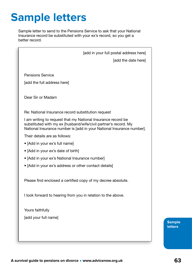# <span id="page-62-0"></span>**Sample letters**

Sample letter to send to the Pensions Service to ask that your National Insurance record be substituted with your ex's record, so you get a better record.

| [add in your full postal address here]                                                                                                                                                                   |
|----------------------------------------------------------------------------------------------------------------------------------------------------------------------------------------------------------|
| [add the date here]                                                                                                                                                                                      |
|                                                                                                                                                                                                          |
| <b>Pensions Service</b>                                                                                                                                                                                  |
| [add the full address here]                                                                                                                                                                              |
| Dear Sir or Madam                                                                                                                                                                                        |
| Re: National Insurance record substitution request                                                                                                                                                       |
| I am writing to request that my National Insurance record be<br>substituted with my ex [husband/wife/civil partner's record. My<br>National Insurance number is [add in your National Insurance number]. |
| Their details are as follows:                                                                                                                                                                            |
| • [Add in your ex's full name]                                                                                                                                                                           |
| • [Add in your ex's date of birth]                                                                                                                                                                       |
| • [Add in your ex's National Insurance number]                                                                                                                                                           |
| • [Add in your ex's address or other contact details]                                                                                                                                                    |
| Please find enclosed a certified copy of my decree absolute.                                                                                                                                             |
| I look forward to hearing from you in relation to the above.                                                                                                                                             |
| Yours faithfully                                                                                                                                                                                         |
| [add your full name]                                                                                                                                                                                     |
|                                                                                                                                                                                                          |
|                                                                                                                                                                                                          |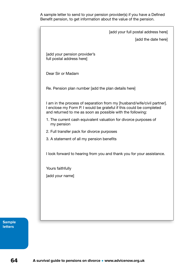A sample letter to send to your pension provider(s) if you have a Defined Benefit pension, to get information about the value of the pension.

| [add your full postal address here]                                                                                                                                                                          |  |
|--------------------------------------------------------------------------------------------------------------------------------------------------------------------------------------------------------------|--|
| [add the date here]                                                                                                                                                                                          |  |
| add your pension provider's<br>full postal address here]                                                                                                                                                     |  |
| Dear Sir or Madam                                                                                                                                                                                            |  |
| Re. Pension plan number [add the plan details here]                                                                                                                                                          |  |
| I am in the process of separation from my [husband/wife/civil partner].<br>I enclose my Form P. I would be grateful if this could be completed<br>and returned to me as soon as possible with the following: |  |
| 1. The current cash equivalent valuation for divorce purposes of<br>my pension                                                                                                                               |  |
| 2. Full transfer pack for divorce purposes                                                                                                                                                                   |  |
| 3. A statement of all my pension benefits                                                                                                                                                                    |  |
| I look forward to hearing from you and thank you for your assistance.                                                                                                                                        |  |
| Yours faithfully                                                                                                                                                                                             |  |
| [add your name]                                                                                                                                                                                              |  |
|                                                                                                                                                                                                              |  |
|                                                                                                                                                                                                              |  |
|                                                                                                                                                                                                              |  |
|                                                                                                                                                                                                              |  |
|                                                                                                                                                                                                              |  |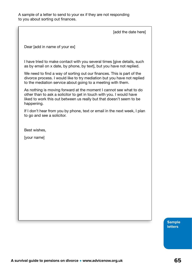[add the date here]

Dear [add in name of your ex]

I have tried to make contact with you several times [give details, such as by email on x date, by phone, by text], but you have not replied.

We need to find a way of sorting out our finances. This is part of the divorce process. I would like to try mediation but you have not replied to the mediation service about going to a meeting with them.

As nothing is moving forward at the moment I cannot see what to do other than to ask a solicitor to get in touch with you. I would have liked to work this out between us really but that doesn't seem to be happening.

If I don't hear from you by phone, text or email in the next week, I plan to go and see a solicitor.

Best wishes,

[your name]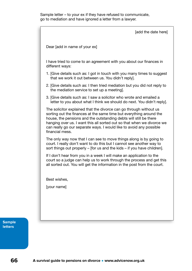![](_page_65_Figure_1.jpeg)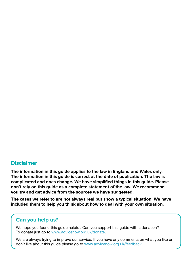### **Disclaimer**

**The information in this guide applies to the law in England and Wales only. The information in this guide is correct at the date of publication. The law is complicated and does change. We have simplified things in this guide. Please don't rely on this guide as a complete statement of the law. We recommend you try and get advice from the sources we have suggested.**

**The cases we refer to are not always real but show a typical situation. We have included them to help you think about how to deal with your own situation.**

### **Can you help us?**

We hope you found this guide helpful. Can you support this guide with a donation? To donate just go to [www.advicenow.org.uk/donate](http://www.advicenow.org.uk/donate).

We are always trying to improve our service. If you have any comments on what you like or don't like about this guide please go to [www.advicenow.org.uk/feedback](http://www.advicenow.org.uk/feedback)